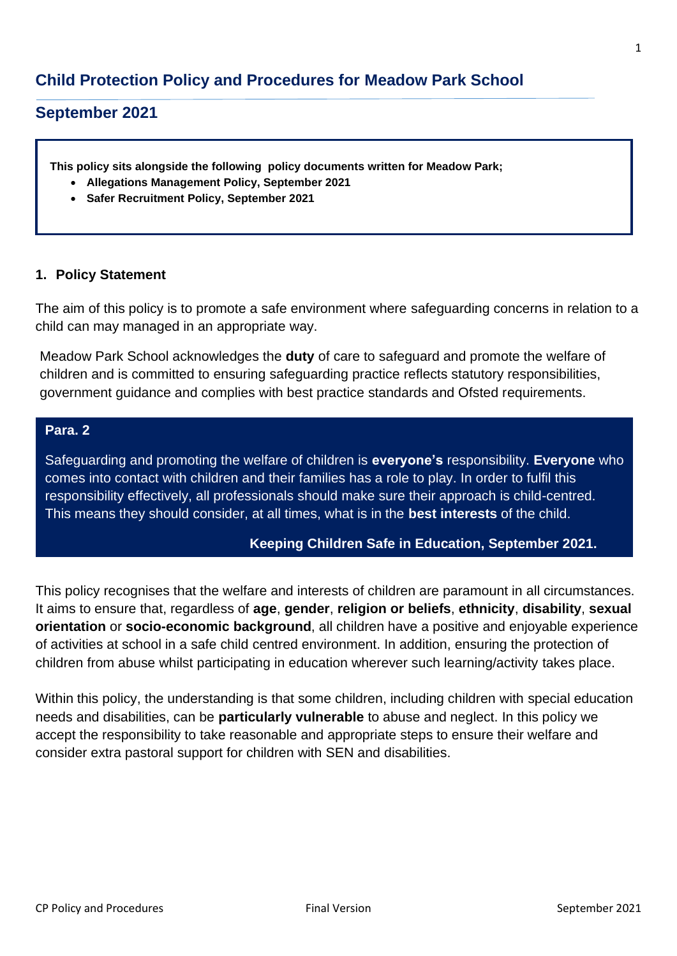## **Child Protection Policy and Procedures for Meadow Park School**

#### **September 2021**

**This policy sits alongside the following policy documents written for Meadow Park;**

- **Allegations Management Policy, September 2021**
- **Safer Recruitment Policy, September 2021**

#### **1. Policy Statement**

The aim of this policy is to promote a safe environment where safeguarding concerns in relation to a child can may managed in an appropriate way.

Meadow Park School acknowledges the **duty** of care to safeguard and promote the welfare of children and is committed to ensuring safeguarding practice reflects statutory responsibilities, government guidance and complies with best practice standards and Ofsted requirements.

#### **Para. 2**

Safeguarding and promoting the welfare of children is **everyone's** responsibility. **Everyone** who comes into contact with children and their families has a role to play. In order to fulfil this responsibility effectively, all professionals should make sure their approach is child-centred. This means they should consider, at all times, what is in the **best interests** of the child.

#### **Keeping Children Safe in Education, September 2021.**

This policy recognises that the welfare and interests of children are paramount in all circumstances. It aims to ensure that, regardless of **age**, **gender**, **religion or beliefs**, **ethnicity**, **disability**, **sexual orientation** or **socio-economic background**, all children have a positive and enjoyable experience of activities at school in a safe child centred environment. In addition, ensuring the protection of children from abuse whilst participating in education wherever such learning/activity takes place.

Within this policy, the understanding is that some children, including children with special education needs and disabilities, can be **particularly vulnerable** to abuse and neglect. In this policy we accept the responsibility to take reasonable and appropriate steps to ensure their welfare and consider extra pastoral support for children with SEN and disabilities.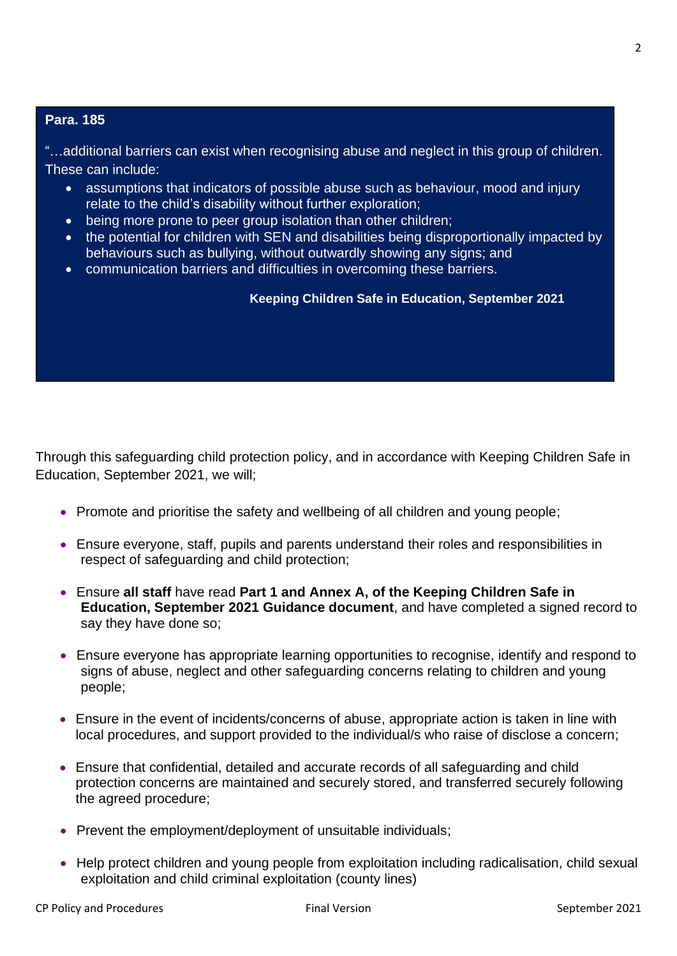#### **Para. 185**

These can include: "...additional barriers can exist when recognising abuse and neglect in this group of children.

- assumptions that indicators of possible abuse such as behaviour, mood and injury relate to the child's disability without further exploration;
- being more prone to peer group isolation than other children;
- the potential for children with SEN and disabilities being disproportionally impacted by behaviours such as bullying, without outwardly showing any signs; and
- communication barriers and difficulties in overcoming these barriers.

#### **Keeping Children Safe in Education, September 2021**

Through this safeguarding child protection policy, and in accordance with Keeping Children Safe in Education, September 2021, we will;

- Promote and prioritise the safety and wellbeing of all children and young people;
- Ensure everyone, staff, pupils and parents understand their roles and responsibilities in respect of safeguarding and child protection;
- Ensure **all staff** have read **Part 1 and Annex A, of the Keeping Children Safe in Education, September 2021 Guidance document**, and have completed a signed record to say they have done so;
- Ensure everyone has appropriate learning opportunities to recognise, identify and respond to signs of abuse, neglect and other safeguarding concerns relating to children and young people;
- Ensure in the event of incidents/concerns of abuse, appropriate action is taken in line with local procedures, and support provided to the individual/s who raise of disclose a concern;
- Ensure that confidential, detailed and accurate records of all safeguarding and child protection concerns are maintained and securely stored, and transferred securely following the agreed procedure;
- Prevent the employment/deployment of unsuitable individuals:
- Help protect children and young people from exploitation including radicalisation, child sexual exploitation and child criminal exploitation (county lines)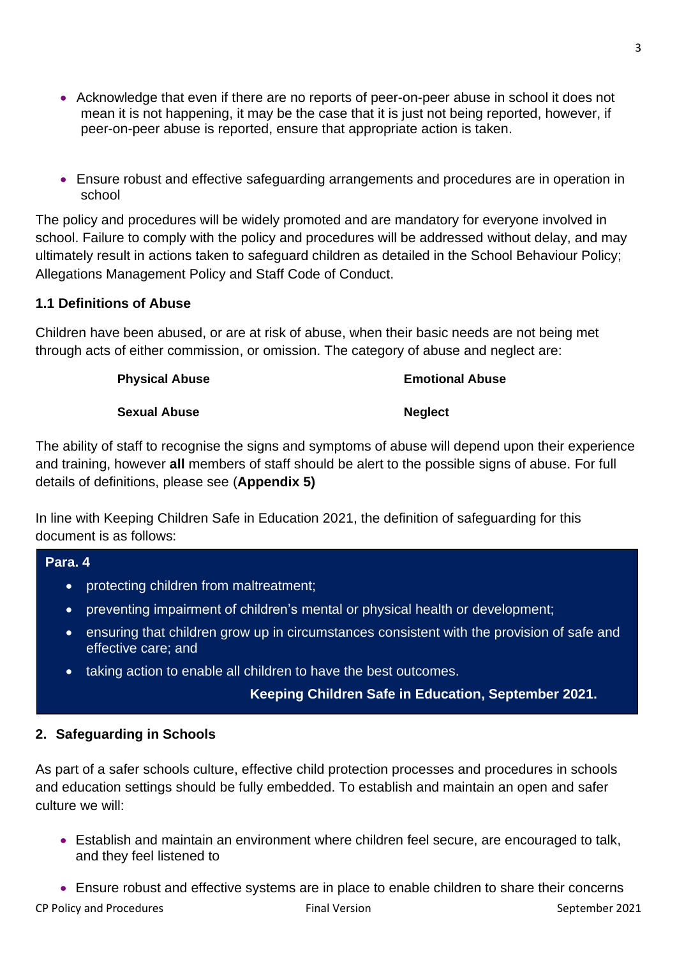- Acknowledge that even if there are no reports of peer-on-peer abuse in school it does not mean it is not happening, it may be the case that it is just not being reported, however, if peer-on-peer abuse is reported, ensure that appropriate action is taken.
- Ensure robust and effective safeguarding arrangements and procedures are in operation in school

The policy and procedures will be widely promoted and are mandatory for everyone involved in school. Failure to comply with the policy and procedures will be addressed without delay, and may ultimately result in actions taken to safeguard children as detailed in the School Behaviour Policy; Allegations Management Policy and Staff Code of Conduct.

#### **1.1 Definitions of Abuse**

Children have been abused, or are at risk of abuse, when their basic needs are not being met through acts of either commission, or omission. The category of abuse and neglect are:

# **Physical Abuse Emotional Abuse**

**Sexual Abuse Neglect Neglect** 

The ability of staff to recognise the signs and symptoms of abuse will depend upon their experience and training, however **all** members of staff should be alert to the possible signs of abuse. For full details of definitions, please see (**Appendix 5)**

In line with Keeping Children Safe in Education 2021, the definition of safeguarding for this document is as follows:

| Para, 4   |                                                                                                                  |
|-----------|------------------------------------------------------------------------------------------------------------------|
| $\bullet$ | protecting children from maltreatment;                                                                           |
| $\bullet$ | preventing impairment of children's mental or physical health or development;                                    |
| $\bullet$ | ensuring that children grow up in circumstances consistent with the provision of safe and<br>effective care; and |

• taking action to enable all children to have the best outcomes.

**Keeping Children Safe in Education, September 2021.**

#### **2. Safeguarding in Schools**

As part of a safer schools culture, effective child protection processes and procedures in schools and education settings should be fully embedded. To establish and maintain an open and safer culture we will:

- Establish and maintain an environment where children feel secure, are encouraged to talk, and they feel listened to
- CP Policy and Procedures **Final Version** Final Version September 2021 • Ensure robust and effective systems are in place to enable children to share their concerns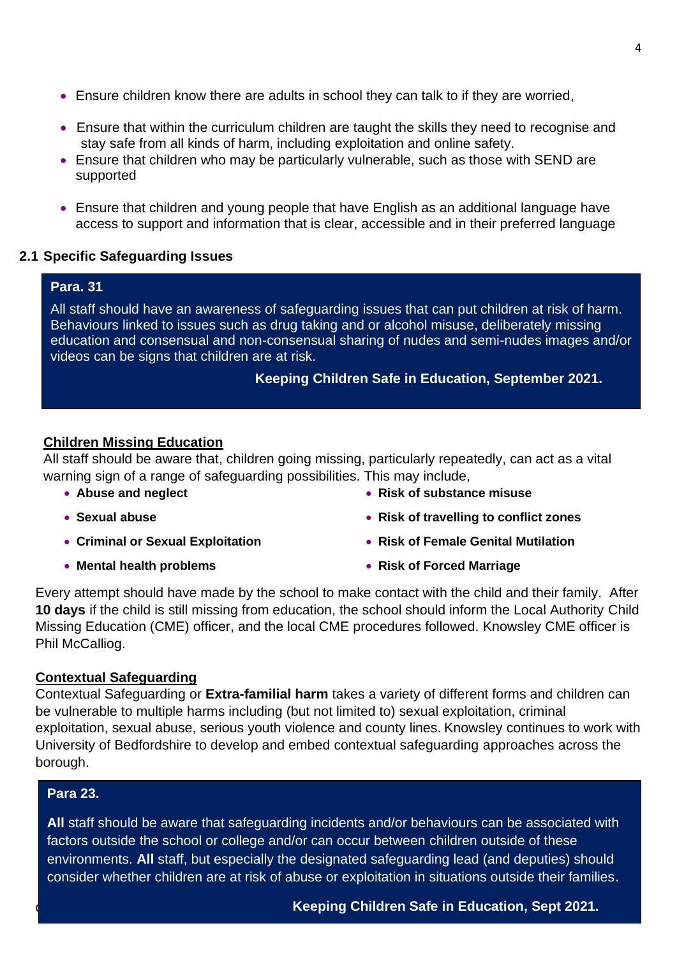- Ensure children know there are adults in school they can talk to if they are worried,
- Ensure that within the curriculum children are taught the skills they need to recognise and stay safe from all kinds of harm, including exploitation and online safety.
- Ensure that children who may be particularly vulnerable, such as those with SEND are supported
- Ensure that children and young people that have English as an additional language have access to support and information that is clear, accessible and in their preferred language

#### **2.1 Specific Safeguarding Issues**

#### **Para. 31**

All staff should have an awareness of safeguarding issues that can put children at risk of harm. Behaviours linked to issues such as drug taking and or alcohol misuse, deliberately missing education and consensual and non-consensual sharing of nudes and semi-nudes images and/or videos can be signs that children are at risk.

**Keeping Children Safe in Education, September 2021.**

#### **Children Missing Education**

All staff should be aware that, children going missing, particularly repeatedly, can act as a vital warning sign of a range of safeguarding possibilities. This may include,

- **Abuse and neglect**
- **Sexual abuse**
- **Criminal or Sexual Exploitation**
- **Mental health problems**
- **Risk of substance misuse**
- **Risk of travelling to conflict zones**
- **Risk of Female Genital Mutilation**
- **Risk of Forced Marriage**

Every attempt should have made by the school to make contact with the child and their family. After **10 days** if the child is still missing from education, the school should inform the Local Authority Child Missing Education (CME) officer, and the local CME procedures followed. Knowsley CME officer is Phil McCalliog.

#### **Contextual Safeguarding**

Contextual Safeguarding or **Extra-familial harm** takes a variety of different forms and children can be vulnerable to multiple harms including (but not limited to) sexual exploitation, criminal exploitation, sexual abuse, serious youth violence and county lines. Knowsley continues to work with University of Bedfordshire to develop and embed contextual safeguarding approaches across the borough.

#### **Para 23.**

**All** staff should be aware that safeguarding incidents and/or behaviours can be associated with factors outside the school or college and/or can occur between children outside of these environments. **All** staff, but especially the designated safeguarding lead (and deputies) should consider whether children are at risk of abuse or exploitation in situations outside their families.

CP Policy and Procedures Final Version September 2021 **Keeping Children Safe in Education, Sept 2021.**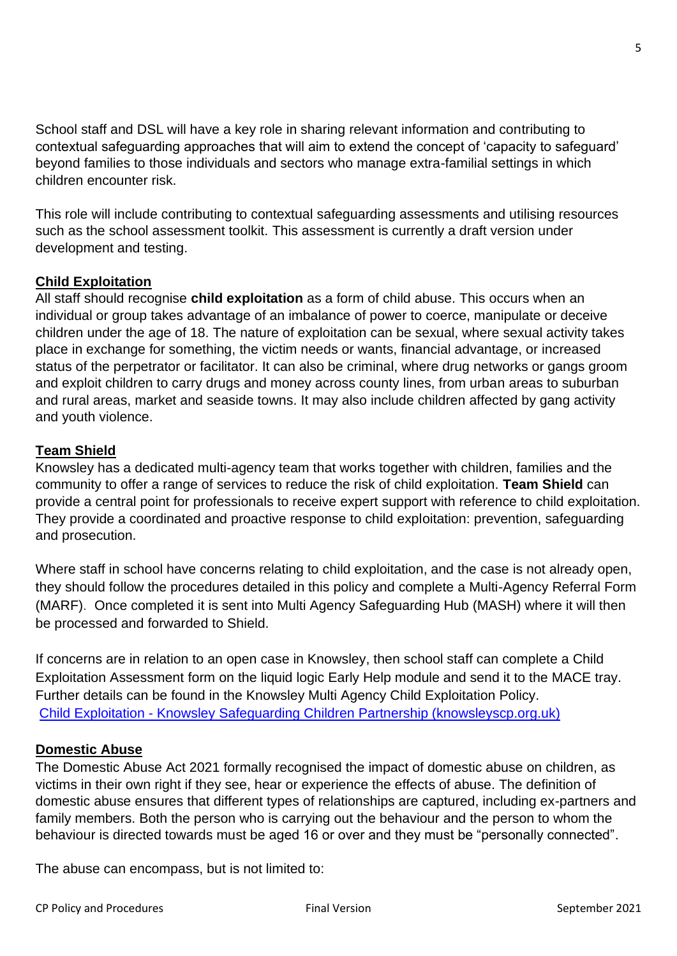School staff and DSL will have a key role in sharing relevant information and contributing to contextual safeguarding approaches that will aim to extend the concept of 'capacity to safeguard' beyond families to those individuals and sectors who manage extra-familial settings in which children encounter risk.

This role will include contributing to contextual safeguarding assessments and utilising resources such as the school assessment toolkit. This assessment is currently a draft version under development and testing.

#### **Child Exploitation**

All staff should recognise **child exploitation** as a form of child abuse. This occurs when an individual or group takes advantage of an imbalance of power to coerce, manipulate or deceive children under the age of 18. The nature of exploitation can be sexual, where sexual activity takes place in exchange for something, the victim needs or wants, financial advantage, or increased status of the perpetrator or facilitator. It can also be criminal, where drug networks or gangs groom and exploit children to carry drugs and money across county lines, from urban areas to suburban and rural areas, market and seaside towns. It may also include children affected by gang activity and youth violence.

#### **Team Shield**

Knowsley has a dedicated multi-agency team that works together with children, families and the community to offer a range of services to reduce the risk of child exploitation. **Team Shield** can provide a central point for professionals to receive expert support with reference to child exploitation. They provide a coordinated and proactive response to child exploitation: prevention, safeguarding and prosecution.

Where staff in school have concerns relating to child exploitation, and the case is not already open, they should follow the procedures detailed in this policy and complete a Multi-Agency Referral Form (MARF). Once completed it is sent into Multi Agency Safeguarding Hub (MASH) where it will then be processed and forwarded to Shield.

If concerns are in relation to an open case in Knowsley, then school staff can complete a Child Exploitation Assessment form on the liquid logic Early Help module and send it to the MACE tray. Further details can be found in the Knowsley Multi Agency Child Exploitation Policy. Child Exploitation - [Knowsley Safeguarding Children Partnership \(knowsleyscp.org.uk\)](https://www.knowsleyscp.org.uk/professionals/child-sexual-exploitation/)

#### **Domestic Abuse**

The Domestic Abuse Act 2021 formally recognised the impact of domestic abuse on children, as victims in their own right if they see, hear or experience the effects of abuse. The definition of domestic abuse ensures that different types of relationships are captured, including ex-partners and family members. Both the person who is carrying out the behaviour and the person to whom the behaviour is directed towards must be aged 16 or over and they must be "personally connected".

The abuse can encompass, but is not limited to: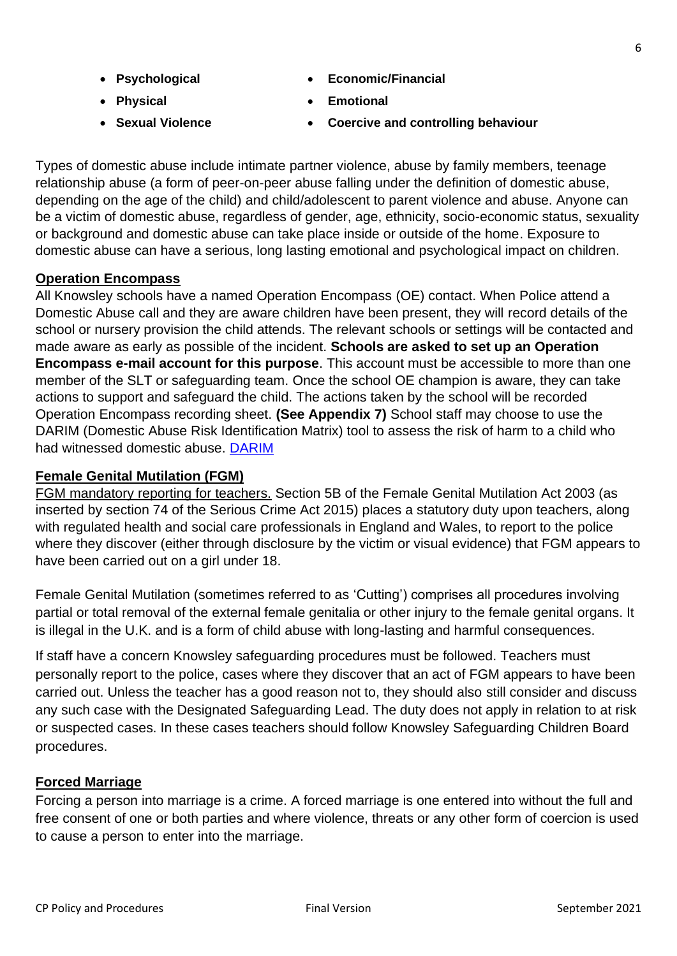- **Psychological**
- **Physical**
- **Sexual Violence**
- **Economic/Financial**
- **Emotional**
- **Coercive and controlling behaviour**

Types of domestic abuse include intimate partner violence, abuse by family members, teenage relationship abuse (a form of peer-on-peer abuse falling under the definition of domestic abuse, depending on the age of the child) and child/adolescent to parent violence and abuse. Anyone can be a victim of domestic abuse, regardless of gender, age, ethnicity, socio-economic status, sexuality or background and domestic abuse can take place inside or outside of the home. Exposure to domestic abuse can have a serious, long lasting emotional and psychological impact on children.

#### **Operation Encompass**

All Knowsley schools have a named Operation Encompass (OE) contact. When Police attend a Domestic Abuse call and they are aware children have been present, they will record details of the school or nursery provision the child attends. The relevant schools or settings will be contacted and made aware as early as possible of the incident. **Schools are asked to set up an Operation Encompass e-mail account for this purpose**. This account must be accessible to more than one member of the SLT or safeguarding team. Once the school OE champion is aware, they can take actions to support and safeguard the child. The actions taken by the school will be recorded Operation Encompass recording sheet. **(See Appendix 7)** School staff may choose to use the DARIM (Domestic Abuse Risk Identification Matrix) tool to assess the risk of harm to a child who had witnessed domestic abuse. [DARIM](https://www.knowsleyscp.org.uk/wp-content/uploads/2017/06/DARIM-2.pdf)

#### **Female Genital Mutilation (FGM)**

FGM mandatory reporting for teachers. Section 5B of the Female Genital Mutilation Act 2003 (as inserted by section 74 of the Serious Crime Act 2015) places a statutory duty upon teachers, along with regulated health and social care professionals in England and Wales, to report to the police where they discover (either through disclosure by the victim or visual evidence) that FGM appears to have been carried out on a girl under 18.

Female Genital Mutilation (sometimes referred to as 'Cutting') comprises all procedures involving partial or total removal of the external female genitalia or other injury to the female genital organs. It is illegal in the U.K. and is a form of child abuse with long-lasting and harmful consequences.

If staff have a concern Knowsley safeguarding procedures must be followed. Teachers must personally report to the police, cases where they discover that an act of FGM appears to have been carried out. Unless the teacher has a good reason not to, they should also still consider and discuss any such case with the Designated Safeguarding Lead. The duty does not apply in relation to at risk or suspected cases. In these cases teachers should follow Knowsley Safeguarding Children Board procedures.

#### **Forced Marriage**

Forcing a person into marriage is a crime. A forced marriage is one entered into without the full and free consent of one or both parties and where violence, threats or any other form of coercion is used to cause a person to enter into the marriage.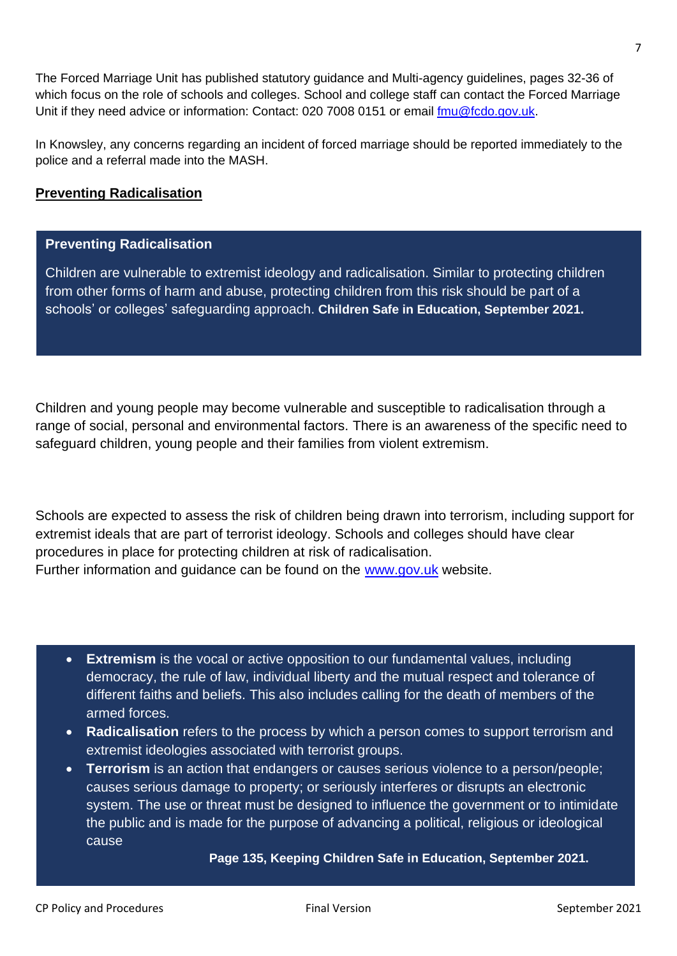The Forced Marriage Unit has published statutory guidance and Multi-agency guidelines, pages 32-36 of which focus on the role of schools and colleges. School and college staff can contact the Forced Marriage Unit if they need advice or information: Contact: 020 7008 0151 or email [fmu@fcdo.gov.uk.](mailto:fmu@fcdo.gov.uk)

In Knowsley, any concerns regarding an incident of forced marriage should be reported immediately to the police and a referral made into the MASH.

#### **Preventing Radicalisation**

#### **Preventing Radicalisation**

**Page 135, Keeping** Children are vulnerable to extremist ideology and radicalisation. Similar to protecting children from other forms of harm and abuse, protecting children from this risk should be part of a schools' or colleges' safeguarding approach. **Children Safe in Education, September 2021.**

Children and young people may become vulnerable and susceptible to radicalisation through a range of social, personal and environmental factors. There is an awareness of the specific need to safeguard children, young people and their families from violent extremism.

Schools are expected to assess the risk of children being drawn into terrorism, including support for extremist ideals that are part of terrorist ideology. Schools and colleges should have clear procedures in place for protecting children at risk of radicalisation.

Further information and quidance can be found on the [www.gov.uk](http://www.gov.uk/) website.

- **Extremism** is the vocal or active opposition to our fundamental values, including democracy, the rule of law, individual liberty and the mutual respect and tolerance of different faiths and beliefs. This also includes calling for the death of members of the armed forces.
- **Radicalisation** refers to the process by which a person comes to support terrorism and extremist ideologies associated with terrorist groups.
- **Terrorism** is an action that endangers or causes serious violence to a person/people; causes serious damage to property; or seriously interferes or disrupts an electronic system. The use or threat must be designed to influence the government or to intimidate the public and is made for the purpose of advancing a political, religious or ideological cause

**Page 135, Keeping Children Safe in Education, September 2021.**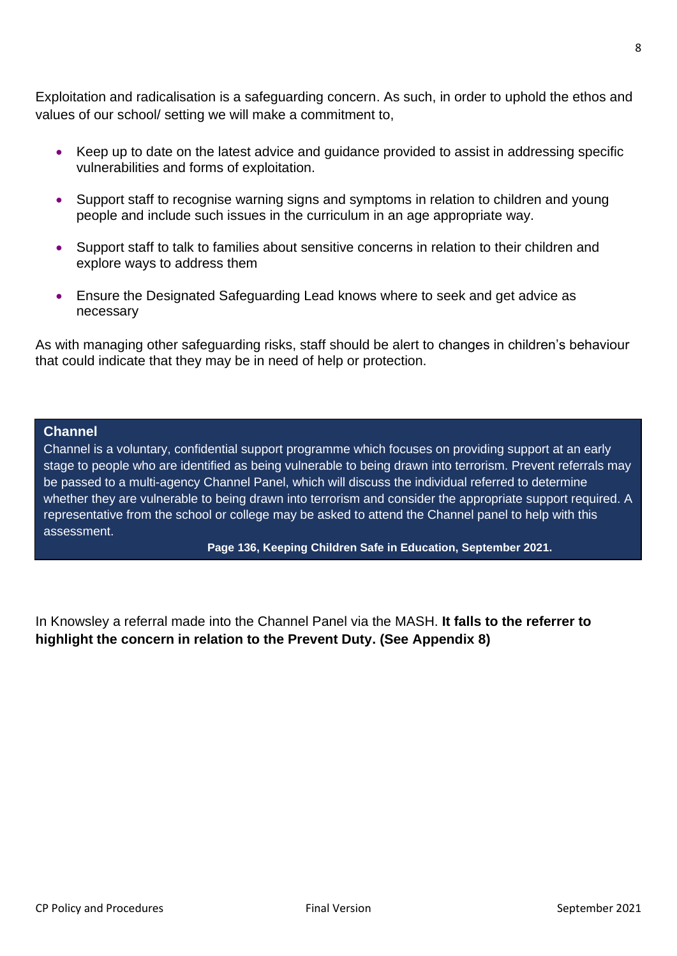Exploitation and radicalisation is a safeguarding concern. As such, in order to uphold the ethos and values of our school/ setting we will make a commitment to,

- Keep up to date on the latest advice and guidance provided to assist in addressing specific vulnerabilities and forms of exploitation.
- Support staff to recognise warning signs and symptoms in relation to children and young people and include such issues in the curriculum in an age appropriate way.
- Support staff to talk to families about sensitive concerns in relation to their children and explore ways to address them
- Ensure the Designated Safeguarding Lead knows where to seek and get advice as necessary

As with managing other safeguarding risks, staff should be alert to changes in children's behaviour that could indicate that they may be in need of help or protection.

#### **Channel**

Channel is a voluntary, confidential support programme which focuses on providing support at an early stage to people who are identified as being vulnerable to being drawn into terrorism. Prevent referrals may be passed to a multi-agency Channel Panel, which will discuss the individual referred to determine whether they are vulnerable to being drawn into terrorism and consider the appropriate support required. A representative from the school or college may be asked to attend the Channel panel to help with this assessment.

**Page 136, Keeping Children Safe in Education, September 2021.**

In Knowsley a referral made into the Channel Panel via the MASH. **It falls to the referrer to highlight the concern in relation to the Prevent Duty. (See Appendix 8)**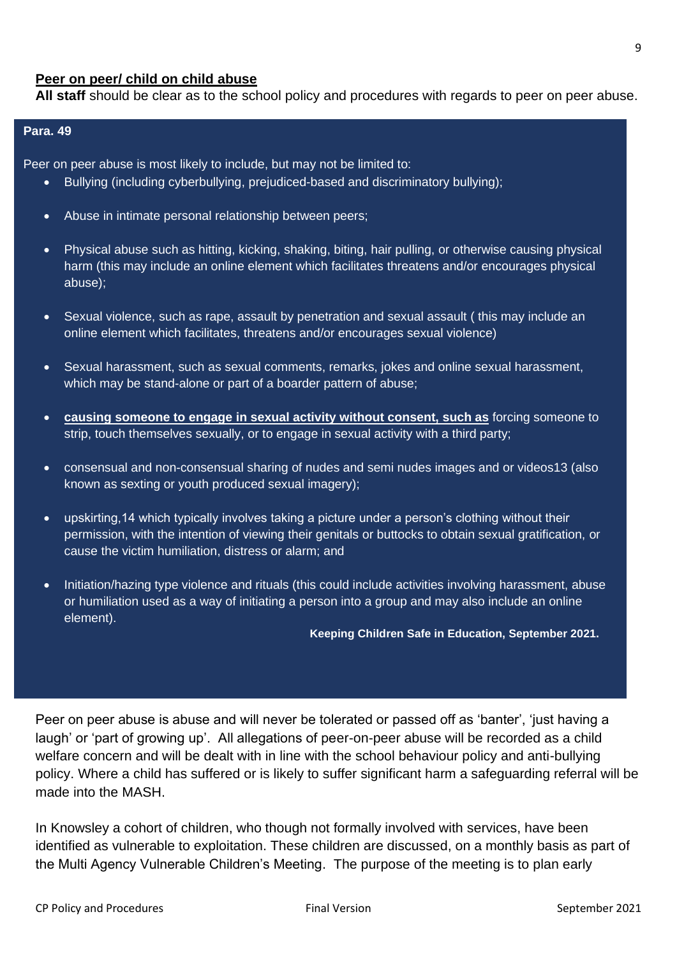#### **Peer on peer/ child on child abuse**

**All staff** should be clear as to the school policy and procedures with regards to peer on peer abuse.

#### **Para. 49**

Peer on peer abuse is most likely to include, but may not be limited to:

- Bullying (including cyberbullying, prejudiced-based and discriminatory bullying);
- Abuse in intimate personal relationship between peers;
- Physical abuse such as hitting, kicking, shaking, biting, hair pulling, or otherwise causing physical harm (this may include an online element which facilitates threatens and/or encourages physical abuse);
- Sexual violence, such as rape, assault by penetration and sexual assault ( this may include an online element which facilitates, threatens and/or encourages sexual violence)
- Sexual harassment, such as sexual comments, remarks, jokes and online sexual harassment, which may be stand-alone or part of a boarder pattern of abuse;
- **causing someone to engage in sexual activity without consent, such as** forcing someone to strip, touch themselves sexually, or to engage in sexual activity with a third party;
- consensual and non-consensual sharing of nudes and semi nudes images and or videos13 (also known as sexting or youth produced sexual imagery);
- upskirting,14 which typically involves taking a picture under a person's clothing without their permission, with the intention of viewing their genitals or buttocks to obtain sexual gratification, or cause the victim humiliation, distress or alarm; and
- Initiation/hazing type violence and rituals (this could include activities involving harassment, abuse or humiliation used as a way of initiating a person into a group and may also include an online element).

**Keeping Children Safe in Education, September 2021.**

Peer on peer abuse is abuse and will never be tolerated or passed off as 'banter', 'just having a laugh' or 'part of growing up'. All allegations of peer-on-peer abuse will be recorded as a child welfare concern and will be dealt with in line with the school behaviour policy and anti-bullying policy. Where a child has suffered or is likely to suffer significant harm a safeguarding referral will be made into the MASH.

In Knowsley a cohort of children, who though not formally involved with services, have been identified as vulnerable to exploitation. These children are discussed, on a monthly basis as part of the Multi Agency Vulnerable Children's Meeting. The purpose of the meeting is to plan early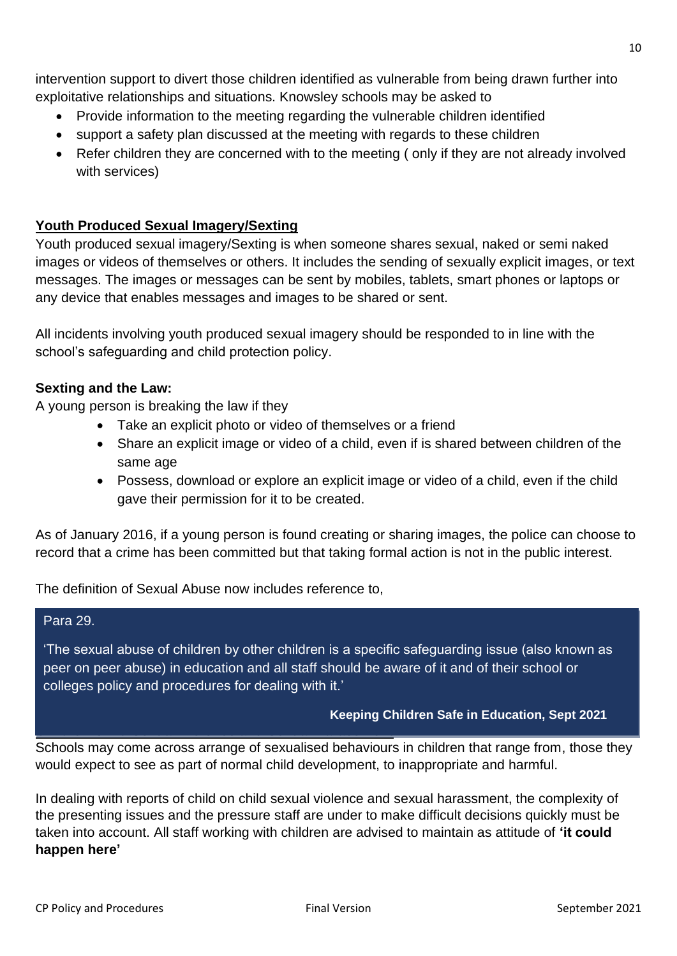intervention support to divert those children identified as vulnerable from being drawn further into exploitative relationships and situations. Knowsley schools may be asked to

- Provide information to the meeting regarding the vulnerable children identified
- support a safety plan discussed at the meeting with regards to these children
- Refer children they are concerned with to the meeting (only if they are not already involved with services)

#### **Youth Produced Sexual Imagery/Sexting**

Youth produced sexual imagery/Sexting is when someone shares sexual, naked or semi naked images or videos of themselves or others. It includes the sending of sexually explicit images, or text messages. The images or messages can be sent by mobiles, tablets, smart phones or laptops or any device that enables messages and images to be shared or sent.

All incidents involving youth produced sexual imagery should be responded to in line with the school's safeguarding and child protection policy.

#### **Sexting and the Law:**

A young person is breaking the law if they

- Take an explicit photo or video of themselves or a friend
- Share an explicit image or video of a child, even if is shared between children of the same age
- Possess, download or explore an explicit image or video of a child, even if the child gave their permission for it to be created.

As of January 2016, if a young person is found creating or sharing images, the police can choose to record that a crime has been committed but that taking formal action is not in the public interest.

The definition of Sexual Abuse now includes reference to,

**Child on Child Sexual Violence and Sexual Harassment**

#### Para 29.

'The sexual abuse of children by other children is a specific safeguarding issue (also known as peer on peer abuse) in education and all staff should be aware of it and of their school or colleges policy and procedures for dealing with it.'

**Keeping Children Safe in Education, Sept 2021**

Schools may come across arrange of sexualised behaviours in children that range from, those they would expect to see as part of normal child development, to inappropriate and harmful.

In dealing with reports of child on child sexual violence and sexual harassment, the complexity of the presenting issues and the pressure staff are under to make difficult decisions quickly must be taken into account. All staff working with children are advised to maintain as attitude of **'it could happen here'**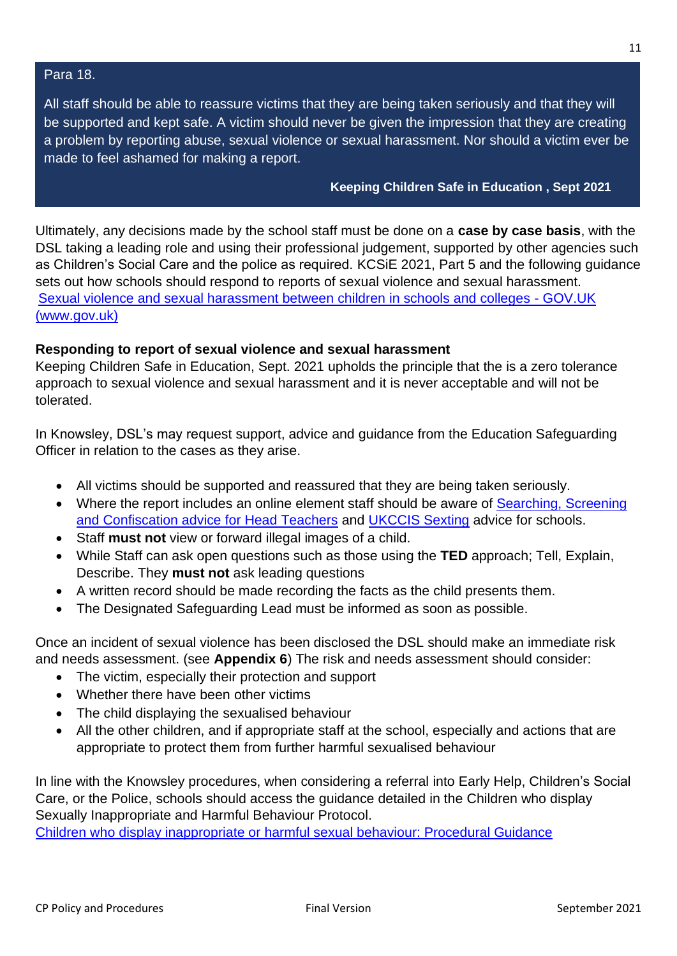#### Para 18.

All staff should be able to reassure victims that they are being taken seriously and that they will be supported and kept safe. A victim should never be given the impression that they are creating a problem by reporting abuse, sexual violence or sexual harassment. Nor should a victim ever be made to feel ashamed for making a report.

#### **Keeping Children Safe in Education , Sept 2021**

Ultimately, any decisions made by the school staff must be done on a **case by case basis**, with the DSL taking a leading role and using their professional judgement, supported by other agencies such as Children's Social Care and the police as required. KCSiE 2021, Part 5 and the following guidance sets out how schools should respond to reports of sexual violence and sexual harassment. [Sexual violence and sexual harassment between children in schools and colleges -](https://www.gov.uk/government/publications/sexual-violence-and-sexual-harassment-between-children-in-schools-and-colleges) GOV.UK [\(www.gov.uk\)](https://www.gov.uk/government/publications/sexual-violence-and-sexual-harassment-between-children-in-schools-and-colleges)

#### **Responding to report of sexual violence and sexual harassment**

Keeping Children Safe in Education, Sept. 2021 upholds the principle that the is a zero tolerance approach to sexual violence and sexual harassment and it is never acceptable and will not be tolerated.

In Knowsley, DSL's may request support, advice and guidance from the Education Safeguarding Officer in relation to the cases as they arise.

- All victims should be supported and reassured that they are being taken seriously.
- Where the report includes an online element staff should be aware of Searching, Screening [and Confiscation advice for Head Teachers](https://assets.publishing.service.gov.uk/government/uploads/system/uploads/attachment_data/file/674416/Searching_screening_and_confiscation.pdf) and [UKCCIS Sexting](https://www.gov.uk/government/publications/sexting-in-schools-and-colleges) advice for schools.
- Staff **must not** view or forward illegal images of a child.
- While Staff can ask open questions such as those using the **TED** approach; Tell, Explain, Describe. They **must not** ask leading questions
- A written record should be made recording the facts as the child presents them.
- The Designated Safeguarding Lead must be informed as soon as possible.

Once an incident of sexual violence has been disclosed the DSL should make an immediate risk and needs assessment. (see **Appendix 6**) The risk and needs assessment should consider:

- The victim, especially their protection and support
- Whether there have been other victims
- The child displaying the sexualised behaviour
- All the other children, and if appropriate staff at the school, especially and actions that are appropriate to protect them from further harmful sexualised behaviour

In line with the Knowsley procedures, when considering a referral into Early Help, Children's Social Care, or the Police, schools should access the guidance detailed in the Children who display Sexually Inappropriate and Harmful Behaviour Protocol.

[Children who display inappropriate or harmful sexual behaviour: Procedural Guidance](https://knowsleyscb.proceduresonline.com/files/harmful_sex_behav.pdf?zoom_highlight=sexual+harmful+behaviour#search=%22sexual%20harmful%20behaviour%22)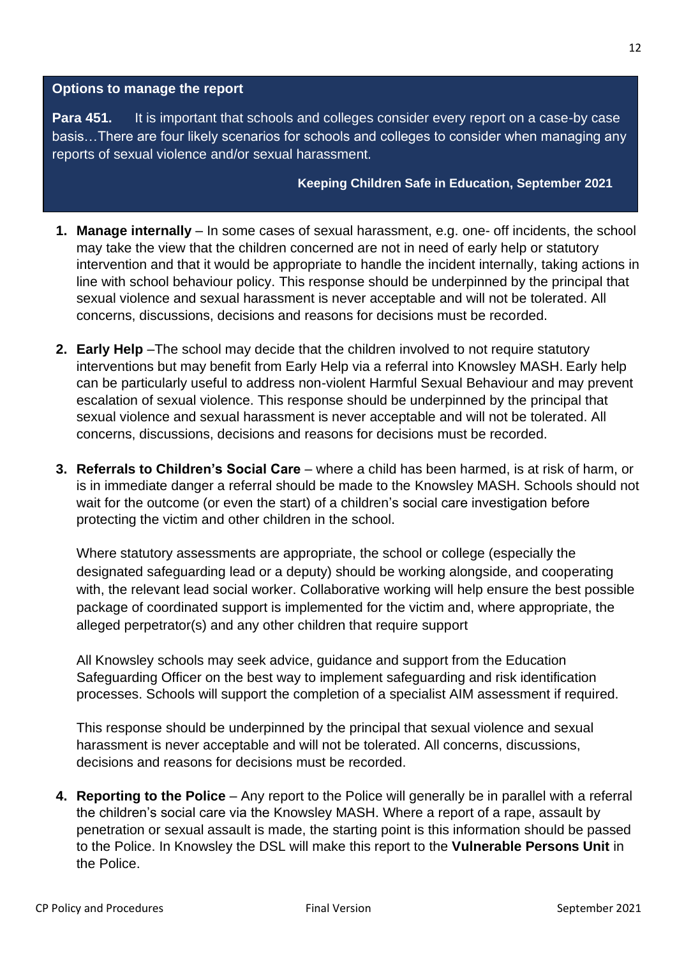#### **Options to manage the report**

**Para 451.** It is important that schools and colleges consider every report on a case-by case basis…There are four likely scenarios for schools and colleges to consider when managing any reports of sexual violence and/or sexual harassment.

#### **Keeping Children Safe in Education, September 2021**

- **1. Manage internally**  In some cases of sexual harassment, e.g. one- off incidents, the school may take the view that the children concerned are not in need of early help or statutory intervention and that it would be appropriate to handle the incident internally, taking actions in line with school behaviour policy. This response should be underpinned by the principal that sexual violence and sexual harassment is never acceptable and will not be tolerated. All concerns, discussions, decisions and reasons for decisions must be recorded.
- **2. Early Help** –The school may decide that the children involved to not require statutory interventions but may benefit from Early Help via a referral into Knowsley MASH. Early help can be particularly useful to address non-violent Harmful Sexual Behaviour and may prevent escalation of sexual violence. This response should be underpinned by the principal that sexual violence and sexual harassment is never acceptable and will not be tolerated. All concerns, discussions, decisions and reasons for decisions must be recorded.
- **3. Referrals to Children's Social Care** where a child has been harmed, is at risk of harm, or is in immediate danger a referral should be made to the Knowsley MASH. Schools should not wait for the outcome (or even the start) of a children's social care investigation before protecting the victim and other children in the school.

Where statutory assessments are appropriate, the school or college (especially the designated safeguarding lead or a deputy) should be working alongside, and cooperating with, the relevant lead social worker. Collaborative working will help ensure the best possible package of coordinated support is implemented for the victim and, where appropriate, the alleged perpetrator(s) and any other children that require support

All Knowsley schools may seek advice, guidance and support from the Education Safeguarding Officer on the best way to implement safeguarding and risk identification processes. Schools will support the completion of a specialist AIM assessment if required.

This response should be underpinned by the principal that sexual violence and sexual harassment is never acceptable and will not be tolerated. All concerns, discussions, decisions and reasons for decisions must be recorded.

**4. Reporting to the Police** – Any report to the Police will generally be in parallel with a referral the children's social care via the Knowsley MASH. Where a report of a rape, assault by penetration or sexual assault is made, the starting point is this information should be passed to the Police. In Knowsley the DSL will make this report to the **Vulnerable Persons Unit** in the Police.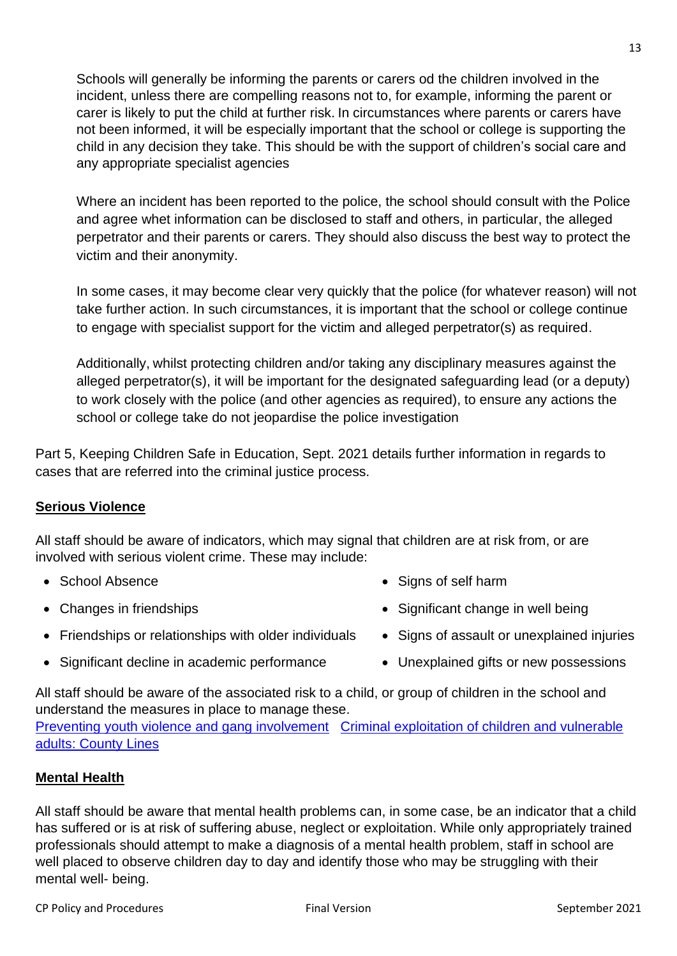Schools will generally be informing the parents or carers od the children involved in the incident, unless there are compelling reasons not to, for example, informing the parent or carer is likely to put the child at further risk. In circumstances where parents or carers have not been informed, it will be especially important that the school or college is supporting the child in any decision they take. This should be with the support of children's social care and any appropriate specialist agencies

Where an incident has been reported to the police, the school should consult with the Police and agree whet information can be disclosed to staff and others, in particular, the alleged perpetrator and their parents or carers. They should also discuss the best way to protect the victim and their anonymity.

In some cases, it may become clear very quickly that the police (for whatever reason) will not take further action. In such circumstances, it is important that the school or college continue to engage with specialist support for the victim and alleged perpetrator(s) as required.

Additionally, whilst protecting children and/or taking any disciplinary measures against the alleged perpetrator(s), it will be important for the designated safeguarding lead (or a deputy) to work closely with the police (and other agencies as required), to ensure any actions the school or college take do not jeopardise the police investigation

Part 5, Keeping Children Safe in Education, Sept. 2021 details further information in regards to cases that are referred into the criminal justice process.

#### **Serious Violence**

All staff should be aware of indicators, which may signal that children are at risk from, or are involved with serious violent crime. These may include:

- School Absence
- Changes in friendships
- Friendships or relationships with older individuals
- Significant decline in academic performance
- Signs of self harm
- Significant change in well being
- Signs of assault or unexplained injuries
- Unexplained gifts or new possessions

All staff should be aware of the associated risk to a child, or group of children in the school and understand the measures in place to manage these. [Preventing youth violence and gang involvement](https://www.gov.uk/government/publications/advice-to-schools-and-colleges-on-gangs-and-youth-violence) Criminal [exploitation of children and vulnerable](https://www.gov.uk/government/publications/criminal-exploitation-of-children-and-vulnerable-adults-county-lines) 

[adults: County Lines](https://www.gov.uk/government/publications/criminal-exploitation-of-children-and-vulnerable-adults-county-lines)

#### **Mental Health**

All staff should be aware that mental health problems can, in some case, be an indicator that a child has suffered or is at risk of suffering abuse, neglect or exploitation. While only appropriately trained professionals should attempt to make a diagnosis of a mental health problem, staff in school are well placed to observe children day to day and identify those who may be struggling with their mental well- being.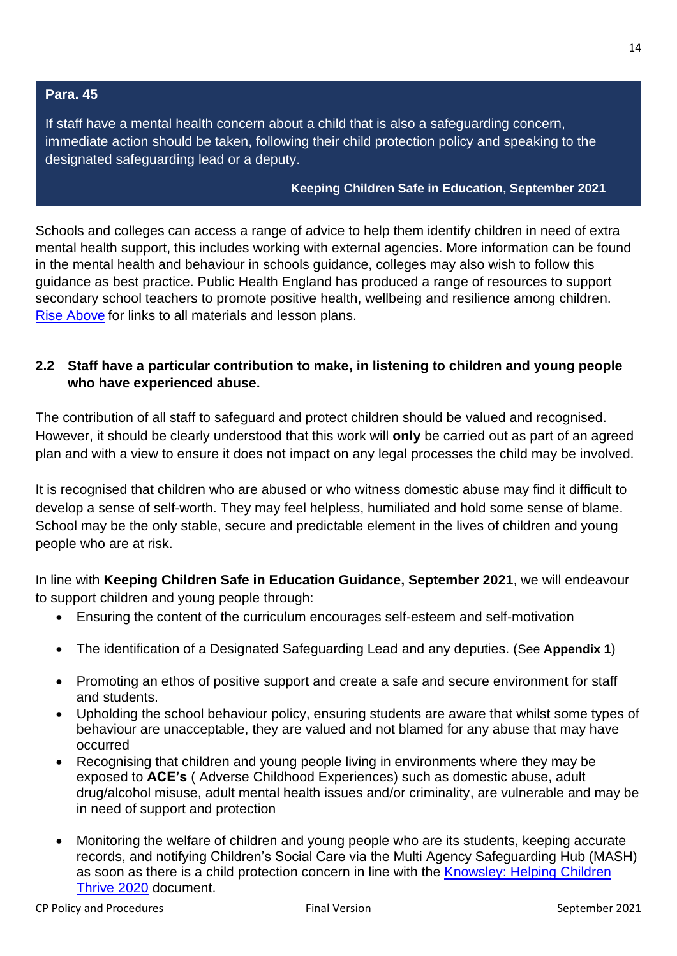#### **Para. 45**

If staff have a mental health concern about a child that is also a safeguarding concern, immediate action should be taken, following their child protection policy and speaking to the designated safeguarding lead or a deputy.

#### **Keeping Children Safe in Education, September 2021**

Schools and colleges can access a range of advice to help them identify children in need of extra mental health support, this includes working with external agencies. More information can be found in the mental health and behaviour in schools guidance, colleges may also wish to follow this guidance as best practice. Public Health England has produced a range of resources to support secondary school teachers to promote positive health, wellbeing and resilience among children. [Rise Above](https://riseabove.org.uk/) for links to all materials and lesson plans.

#### **2.2 Staff have a particular contribution to make, in listening to children and young people who have experienced abuse.**

The contribution of all staff to safeguard and protect children should be valued and recognised. However, it should be clearly understood that this work will **only** be carried out as part of an agreed plan and with a view to ensure it does not impact on any legal processes the child may be involved.

It is recognised that children who are abused or who witness domestic abuse may find it difficult to develop a sense of self-worth. They may feel helpless, humiliated and hold some sense of blame. School may be the only stable, secure and predictable element in the lives of children and young people who are at risk.

In line with **Keeping Children Safe in Education Guidance, September 2021**, we will endeavour to support children and young people through:

- Ensuring the content of the curriculum encourages self-esteem and self-motivation
- The identification of a Designated Safeguarding Lead and any deputies. (See **Appendix 1**)
- Promoting an ethos of positive support and create a safe and secure environment for staff and students.
- Upholding the school behaviour policy, ensuring students are aware that whilst some types of behaviour are unacceptable, they are valued and not blamed for any abuse that may have occurred
- Recognising that children and young people living in environments where they may be exposed to **ACE's** ( Adverse Childhood Experiences) such as domestic abuse, adult drug/alcohol misuse, adult mental health issues and/or criminality, are vulnerable and may be in need of support and protection
- Monitoring the welfare of children and young people who are its students, keeping accurate records, and notifying Children's Social Care via the Multi Agency Safeguarding Hub (MASH) as soon as there is a child protection concern in line with the [Knowsley: Helping Children](https://www.knowsleyscp.org.uk/wp-content/uploads/2020/01/Helping-Children-Thrive-Knowsley.pdf)  [Thrive 2020](https://www.knowsleyscp.org.uk/wp-content/uploads/2020/01/Helping-Children-Thrive-Knowsley.pdf) document.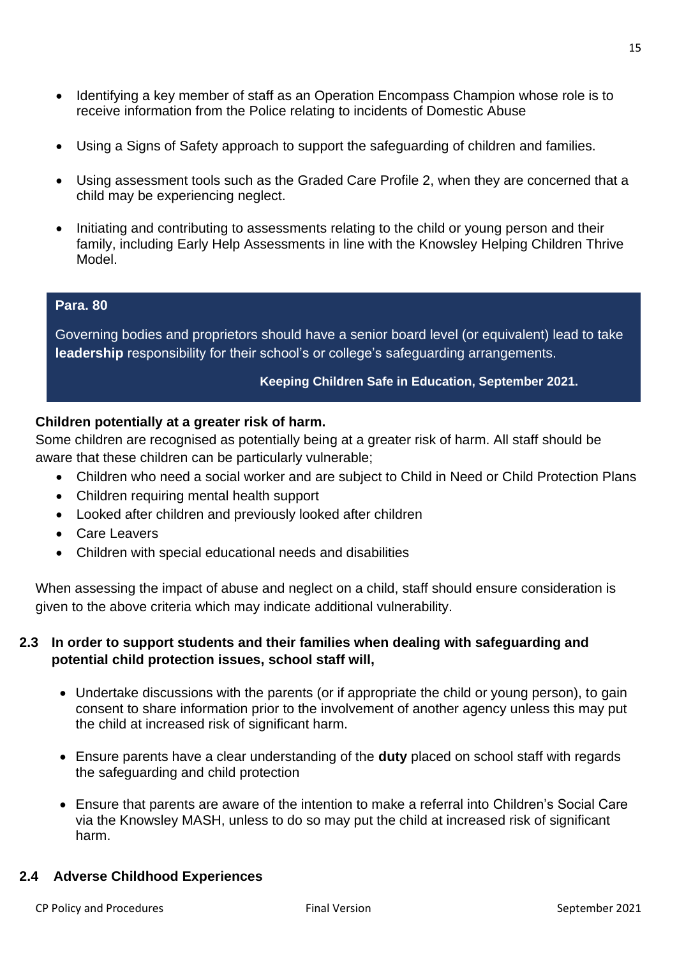- Identifying a key member of staff as an Operation Encompass Champion whose role is to receive information from the Police relating to incidents of Domestic Abuse
- Using a Signs of Safety approach to support the safeguarding of children and families.
- Using assessment tools such as the Graded Care Profile 2, when they are concerned that a child may be experiencing neglect.
- Initiating and contributing to assessments relating to the child or young person and their family, including Early Help Assessments in line with the Knowsley Helping Children Thrive Model.

#### **Para. 80**

Governing bodies and proprietors should have a senior board level (or equivalent) lead to take **leadership** responsibility for their school's or college's safeguarding arrangements.

#### **Keeping Children Safe in Education, September 2021.**

#### **Children potentially at a greater risk of harm.**

Some children are recognised as potentially being at a greater risk of harm. All staff should be aware that these children can be particularly vulnerable;

- Children who need a social worker and are subject to Child in Need or Child Protection Plans
- Children requiring mental health support
- Looked after children and previously looked after children
- Care Leavers
- Children with special educational needs and disabilities

When assessing the impact of abuse and neglect on a child, staff should ensure consideration is given to the above criteria which may indicate additional vulnerability.

#### **2.3 In order to support students and their families when dealing with safeguarding and potential child protection issues, school staff will,**

- Undertake discussions with the parents (or if appropriate the child or young person), to gain consent to share information prior to the involvement of another agency unless this may put the child at increased risk of significant harm.
- Ensure parents have a clear understanding of the **duty** placed on school staff with regards the safeguarding and child protection
- Ensure that parents are aware of the intention to make a referral into Children's Social Care via the Knowsley MASH, unless to do so may put the child at increased risk of significant harm.

#### **2.4 Adverse Childhood Experiences**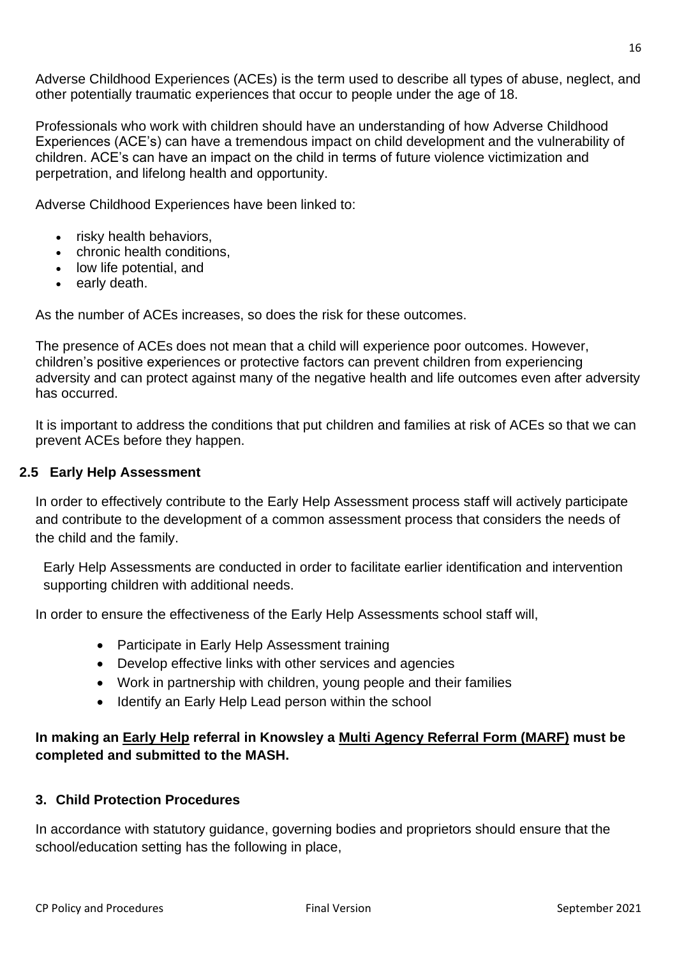16

Adverse Childhood Experiences (ACEs) is the term used to describe all types of abuse, neglect, and other potentially traumatic experiences that occur to people under the age of 18.

Professionals who work with children should have an understanding of how Adverse Childhood Experiences (ACE's) can have a tremendous impact on child development and the vulnerability of children. ACE's can have an impact on the child in terms of future violence victimization and perpetration, and lifelong health and opportunity.

Adverse Childhood Experiences have been linked to:

- risky health behaviors,
- chronic health conditions,
- low life potential, and
- early death.

As the number of ACEs increases, so does the risk for these outcomes.

The presence of ACEs does not mean that a child will experience poor outcomes. However, children's positive experiences or protective factors can prevent children from experiencing adversity and can protect against many of the negative health and life outcomes even after adversity has occurred.

It is important to address the conditions that put children and families at risk of ACEs so that we can prevent ACEs before they happen.

#### **2.5 Early Help Assessment**

In order to effectively contribute to the Early Help Assessment process staff will actively participate and contribute to the development of a common assessment process that considers the needs of the child and the family.

Early Help Assessments are conducted in order to facilitate earlier identification and intervention supporting children with additional needs.

In order to ensure the effectiveness of the Early Help Assessments school staff will,

- Participate in Early Help Assessment training
- Develop effective links with other services and agencies
- Work in partnership with children, young people and their families
- Identify an Early Help Lead person within the school

#### **In making an Early Help referral in Knowsley a Multi Agency Referral Form (MARF) must be completed and submitted to the MASH.**

#### **3. Child Protection Procedures**

In accordance with statutory guidance, governing bodies and proprietors should ensure that the school/education setting has the following in place,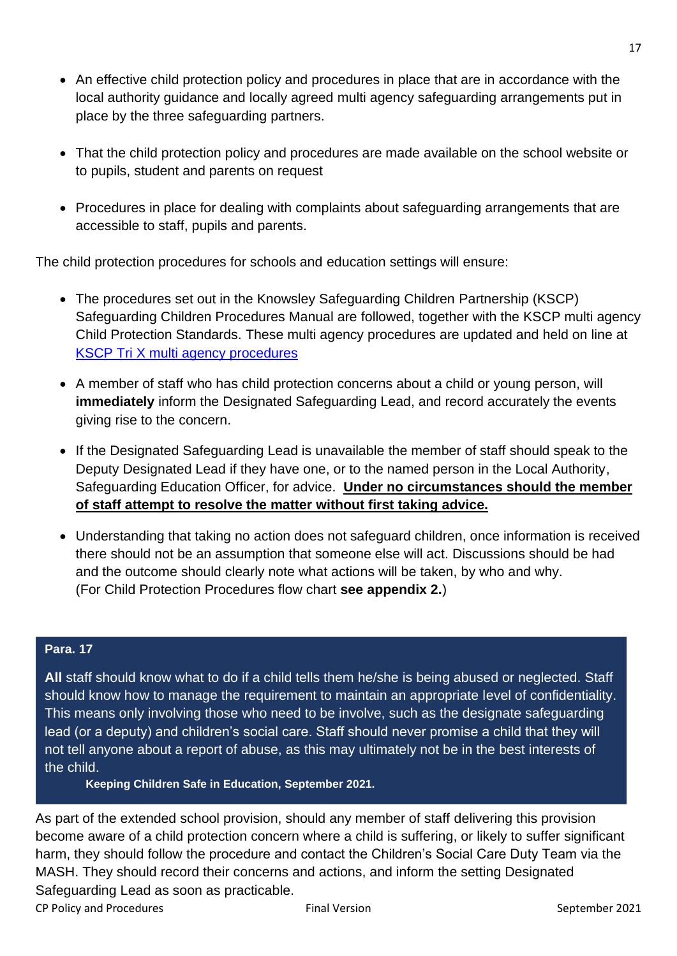- An effective child protection policy and procedures in place that are in accordance with the local authority guidance and locally agreed multi agency safeguarding arrangements put in place by the three safeguarding partners.
- That the child protection policy and procedures are made available on the school website or to pupils, student and parents on request
- Procedures in place for dealing with complaints about safeguarding arrangements that are accessible to staff, pupils and parents.

The child protection procedures for schools and education settings will ensure:

- The procedures set out in the Knowsley Safeguarding Children Partnership (KSCP) Safeguarding Children Procedures Manual are followed, together with the KSCP multi agency Child Protection Standards. These multi agency procedures are updated and held on line at [KSCP Tri X multi agency procedures](https://www.knowsleyscp.org.uk/professionals/multi-agency-procedures/)
- A member of staff who has child protection concerns about a child or young person, will **immediately** inform the Designated Safeguarding Lead, and record accurately the events giving rise to the concern.
- If the Designated Safeguarding Lead is unavailable the member of staff should speak to the Deputy Designated Lead if they have one, or to the named person in the Local Authority, Safeguarding Education Officer, for advice. **Under no circumstances should the member of staff attempt to resolve the matter without first taking advice.**
- Understanding that taking no action does not safeguard children, once information is received there should not be an assumption that someone else will act. Discussions should be had and the outcome should clearly note what actions will be taken, by who and why. (For Child Protection Procedures flow chart **see appendix 2.**)

#### **Para. 17**

**All** staff should know what to do if a child tells them he/she is being abused or neglected. Staff should know how to manage the requirement to maintain an appropriate level of confidentiality. This means only involving those who need to be involve, such as the designate safeguarding lead (or a deputy) and children's social care. Staff should never promise a child that they will not tell anyone about a report of abuse, as this may ultimately not be in the best interests of the child.

**Keeping Children Safe in Education, September 2021.**

As part of the extended school provision, should any member of staff delivering this provision become aware of a child protection concern where a child is suffering, or likely to suffer significant harm, they should follow the procedure and contact the Children's Social Care Duty Team via the MASH. They should record their concerns and actions, and inform the setting Designated Safeguarding Lead as soon as practicable.

CP Policy and Procedures **Final Version** Final Version September 2021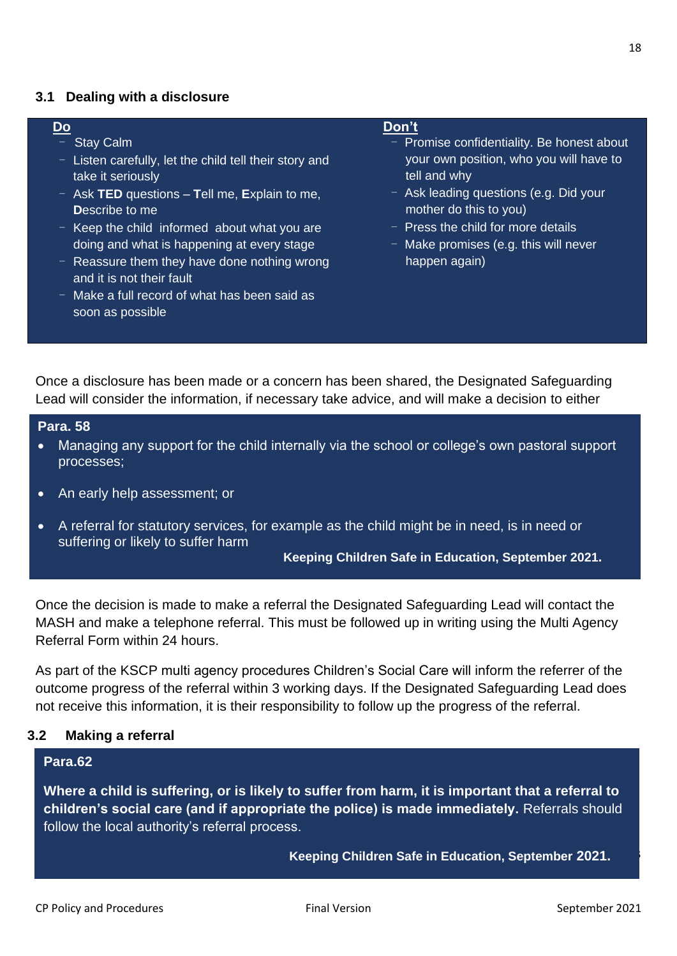#### **3.1 Dealing with a disclosure**

#### **Do**

- Stay Calm
- Listen carefully, let the child tell their story and take it seriously
- Ask **TED** questions **T**ell me, **E**xplain to me, **D**escribe to me
- Keep the child informed about what you are doing and what is happening at every stage
- $-$  Reassure them they have done nothing wrong and it is not their fault
- Make a full record of what has been said as soon as possible

#### **Don't**

- Promise confidentiality. Be honest about your own position, who you will have to tell and why
- Ask leading questions (e.g. Did your mother do this to you)
- Press the child for more details
- Make promises (e.g. this will never happen again)

Once a disclosure has been made or a concern has been shared, the Designated Safeguarding Lead will consider the information, if necessary take advice, and will make a decision to either

#### **Para. 58**

- Managing any support for the child internally via the school or college's own pastoral support processes;
- An early help assessment: or
- A referral for statutory services, for example as the child might be in need, is in need or suffering or likely to suffer harm

**Keeping Children Safe in Education, September 2021.**

Once the decision is made to make a referral the Designated Safeguarding Lead will contact the MASH and make a telephone referral. This must be followed up in writing using the Multi Agency Referral Form within 24 hours.

As part of the KSCP multi agency procedures Children's Social Care will inform the referrer of the outcome progress of the referral within 3 working days. If the Designated Safeguarding Lead does not receive this information, it is their responsibility to follow up the progress of the referral.

#### **3.2 Making a referral**

#### **Para.62**

**Where a child is suffering, or is likely to suffer from harm, it is important that a referral to children's social care (and if appropriate the police) is made immediately.** Referrals should follow the local authority's referral process.

All staff will know what to do if a child tells them he/she is being abused or neglected. Staff members **Keeping Children Safe in Education, September 2021.**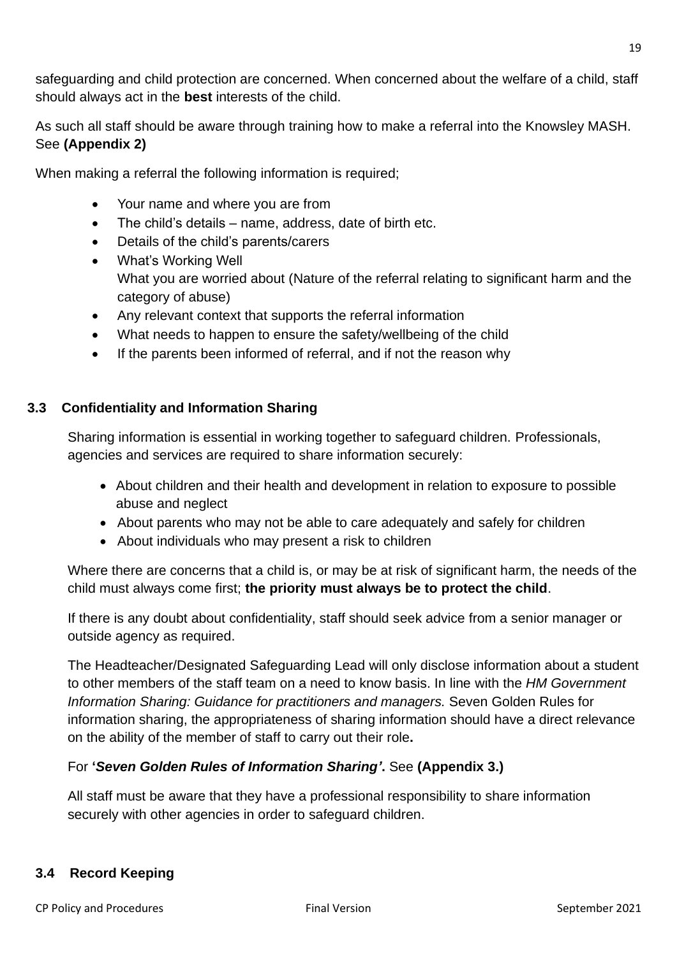safeguarding and child protection are concerned. When concerned about the welfare of a child, staff should always act in the **best** interests of the child.

As such all staff should be aware through training how to make a referral into the Knowsley MASH. See **(Appendix 2)**

When making a referral the following information is required;

- Your name and where you are from
- The child's details name, address, date of birth etc.
- Details of the child's parents/carers
- What's Working Well What you are worried about (Nature of the referral relating to significant harm and the category of abuse)
- Any relevant context that supports the referral information
- What needs to happen to ensure the safety/wellbeing of the child
- If the parents been informed of referral, and if not the reason why

#### **3.3 Confidentiality and Information Sharing**

Sharing information is essential in working together to safeguard children. Professionals, agencies and services are required to share information securely:

- About children and their health and development in relation to exposure to possible abuse and neglect
- About parents who may not be able to care adequately and safely for children
- About individuals who may present a risk to children

Where there are concerns that a child is, or may be at risk of significant harm, the needs of the child must always come first; **the priority must always be to protect the child**.

If there is any doubt about confidentiality, staff should seek advice from a senior manager or outside agency as required.

The Headteacher/Designated Safeguarding Lead will only disclose information about a student to other members of the staff team on a need to know basis. In line with the *HM Government Information Sharing: Guidance for practitioners and managers.* Seven Golden Rules for information sharing, the appropriateness of sharing information should have a direct relevance on the ability of the member of staff to carry out their role**.** 

#### For **'***Seven Golden Rules of Information Sharing'***.** See **(Appendix 3.)**

All staff must be aware that they have a professional responsibility to share information securely with other agencies in order to safeguard children.

#### **3.4 Record Keeping**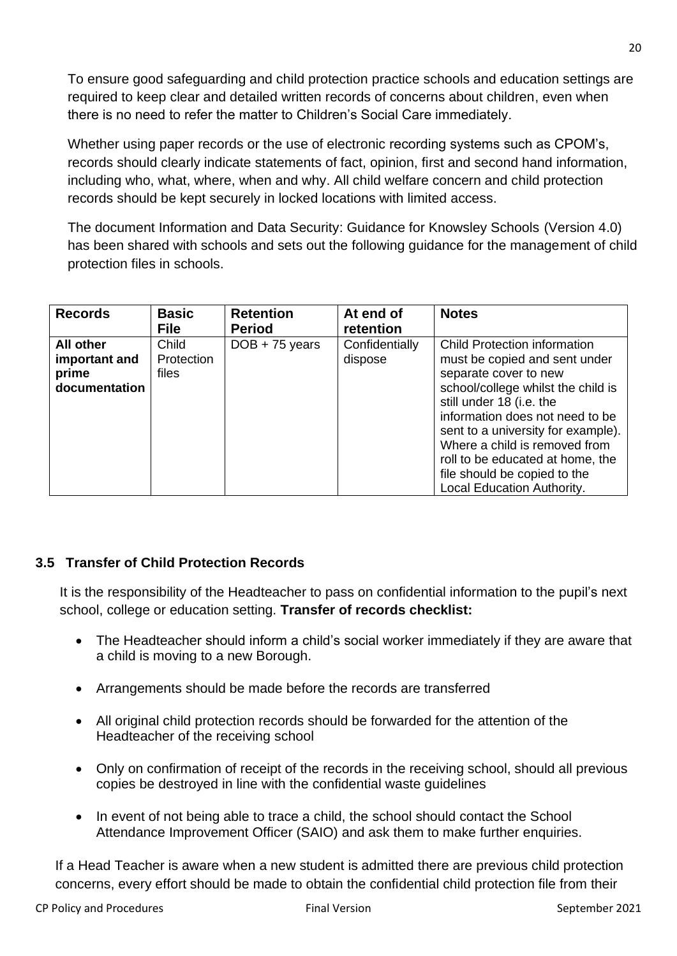To ensure good safeguarding and child protection practice schools and education settings are required to keep clear and detailed written records of concerns about children, even when there is no need to refer the matter to Children's Social Care immediately.

Whether using paper records or the use of electronic recording systems such as CPOM's, records should clearly indicate statements of fact, opinion, first and second hand information, including who, what, where, when and why. All child welfare concern and child protection records should be kept securely in locked locations with limited access.

The document Information and Data Security: Guidance for Knowsley Schools (Version 4.0) has been shared with schools and sets out the following guidance for the management of child protection files in schools.

| <b>Records</b>                                       | <b>Basic</b><br><b>File</b>  | <b>Retention</b><br><b>Period</b> | At end of<br>retention    | <b>Notes</b>                                                                                                                                                                                                                                                                                                                                                                |
|------------------------------------------------------|------------------------------|-----------------------------------|---------------------------|-----------------------------------------------------------------------------------------------------------------------------------------------------------------------------------------------------------------------------------------------------------------------------------------------------------------------------------------------------------------------------|
| All other<br>important and<br>prime<br>documentation | Child<br>Protection<br>files | $DOB + 75$ years                  | Confidentially<br>dispose | <b>Child Protection information</b><br>must be copied and sent under<br>separate cover to new<br>school/college whilst the child is<br>still under 18 (i.e. the<br>information does not need to be<br>sent to a university for example).<br>Where a child is removed from<br>roll to be educated at home, the<br>file should be copied to the<br>Local Education Authority. |

#### **3.5 Transfer of Child Protection Records**

It is the responsibility of the Headteacher to pass on confidential information to the pupil's next school, college or education setting. **Transfer of records checklist:**

- The Headteacher should inform a child's social worker immediately if they are aware that a child is moving to a new Borough.
- Arrangements should be made before the records are transferred
- All original child protection records should be forwarded for the attention of the Headteacher of the receiving school
- Only on confirmation of receipt of the records in the receiving school, should all previous copies be destroyed in line with the confidential waste guidelines
- In event of not being able to trace a child, the school should contact the School Attendance Improvement Officer (SAIO) and ask them to make further enquiries.

If a Head Teacher is aware when a new student is admitted there are previous child protection concerns, every effort should be made to obtain the confidential child protection file from their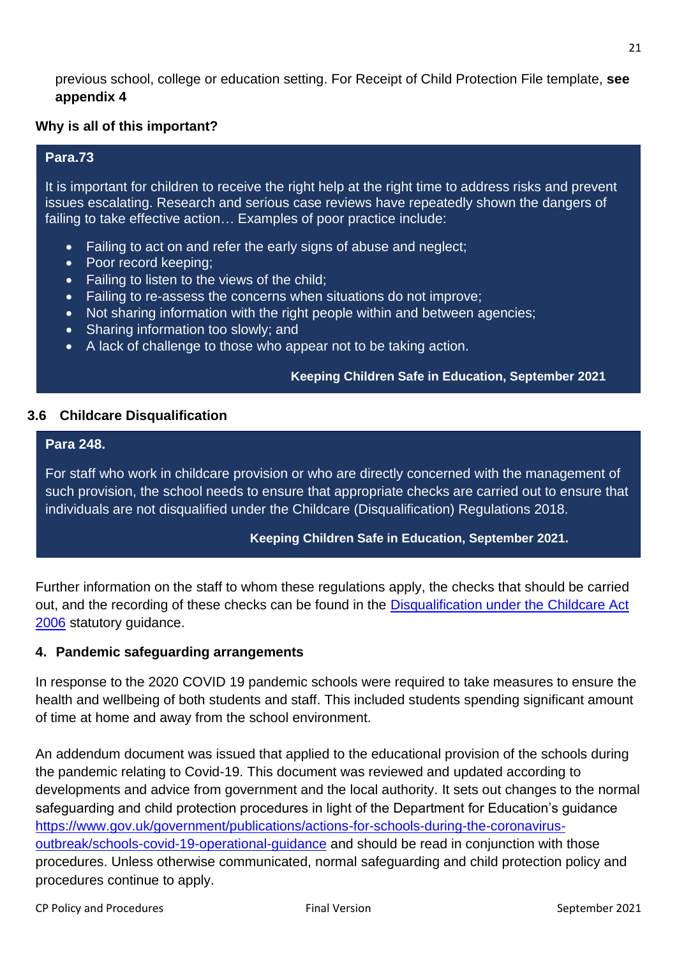previous school, college or education setting. For Receipt of Child Protection File template, **see appendix 4**

#### **Why is all of this important?**

#### **Para.73**

It is important for children to receive the right help at the right time to address risks and prevent issues escalating. Research and serious case reviews have repeatedly shown the dangers of failing to take effective action… Examples of poor practice include:

- Failing to act on and refer the early signs of abuse and neglect;
- Poor record keeping;
- Failing to listen to the views of the child;
- Failing to re-assess the concerns when situations do not improve;
- Not sharing information with the right people within and between agencies;
- Sharing information too slowly: and
- A lack of challenge to those who appear not to be taking action.

#### **Keeping Children Safe in Education, September 2021**

#### **3.6 Childcare Disqualification**

#### **Para 248.**

For staff who work in childcare provision or who are directly concerned with the management of such provision, the school needs to ensure that appropriate checks are carried out to ensure that individuals are not disqualified under the Childcare (Disqualification) Regulations 2018.

#### **Keeping Children Safe in Education, September 2021.**

Further information on the staff to whom these regulations apply, the checks that should be carried out, and the recording of these checks can be found in the [Disqualification under the](https://www.gov.uk/government/publications/disqualification-under-the-childcare-act-2006/disqualification-under-the-childcare-act-2006) Childcare Act [2006](https://www.gov.uk/government/publications/disqualification-under-the-childcare-act-2006/disqualification-under-the-childcare-act-2006) statutory guidance.

#### **4. Pandemic safeguarding arrangements**

In response to the 2020 COVID 19 pandemic schools were required to take measures to ensure the health and wellbeing of both students and staff. This included students spending significant amount of time at home and away from the school environment.

An addendum document was issued that applied to the educational provision of the schools during the pandemic relating to Covid-19. This document was reviewed and updated according to developments and advice from government and the local authority. It sets out changes to the normal safeguarding and child protection procedures in light of the Department for Education's guidance [https://www.gov.uk/government/publications/actions-for-schools-during-the-coronavirus](https://www.gov.uk/government/publications/actions-for-schools-during-the-coronavirus-outbreak/schools-covid-19-operational-guidance)[outbreak/schools-covid-19-operational-guidance](https://www.gov.uk/government/publications/actions-for-schools-during-the-coronavirus-outbreak/schools-covid-19-operational-guidance) and should be read in conjunction with those procedures. Unless otherwise communicated, normal safeguarding and child protection policy and procedures continue to apply.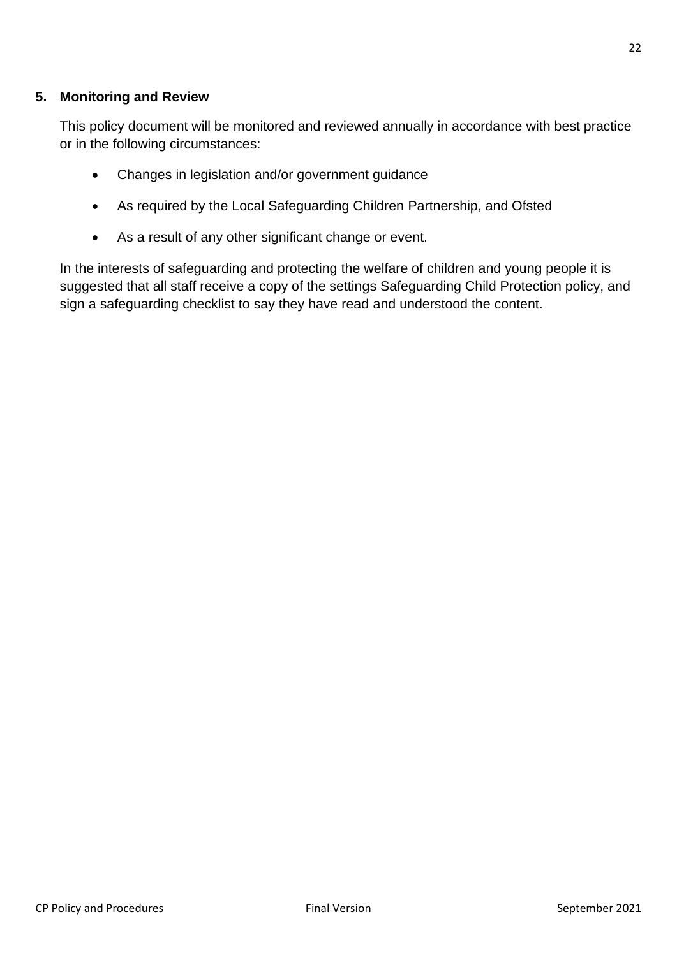#### **5. Monitoring and Review**

This policy document will be monitored and reviewed annually in accordance with best practice or in the following circumstances:

- Changes in legislation and/or government guidance
- As required by the Local Safeguarding Children Partnership, and Ofsted
- As a result of any other significant change or event.

In the interests of safeguarding and protecting the welfare of children and young people it is suggested that all staff receive a copy of the settings Safeguarding Child Protection policy, and sign a safeguarding checklist to say they have read and understood the content.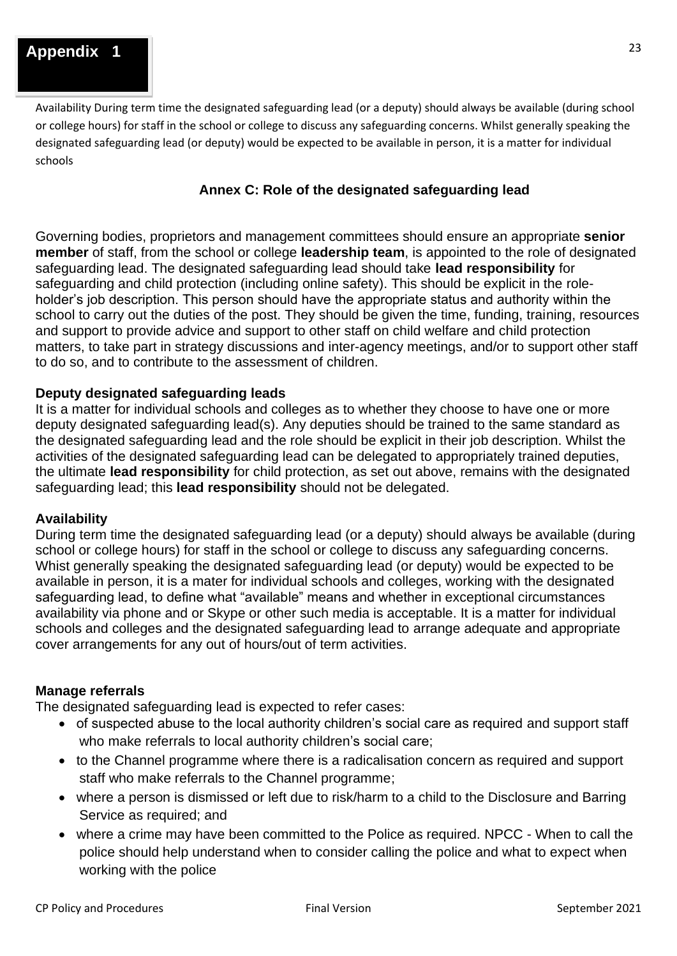Availability During term time the designated safeguarding lead (or a deputy) should always be available (during school or college hours) for staff in the school or college to discuss any safeguarding concerns. Whilst generally speaking the designated safeguarding lead (or deputy) would be expected to be available in person, it is a matter for individual schools

#### **Annex C: Role of the designated safeguarding lead**

Governing bodies, proprietors and management committees should ensure an appropriate **senior member** of staff, from the school or college **leadership team**, is appointed to the role of designated safeguarding lead. The designated safeguarding lead should take **lead responsibility** for safeguarding and child protection (including online safety). This should be explicit in the roleholder's job description. This person should have the appropriate status and authority within the school to carry out the duties of the post. They should be given the time, funding, training, resources and support to provide advice and support to other staff on child welfare and child protection matters, to take part in strategy discussions and inter-agency meetings, and/or to support other staff to do so, and to contribute to the assessment of children.

#### **Deputy designated safeguarding leads**

It is a matter for individual schools and colleges as to whether they choose to have one or more deputy designated safeguarding lead(s). Any deputies should be trained to the same standard as the designated safeguarding lead and the role should be explicit in their job description. Whilst the activities of the designated safeguarding lead can be delegated to appropriately trained deputies, the ultimate **lead responsibility** for child protection, as set out above, remains with the designated safeguarding lead; this **lead responsibility** should not be delegated.

#### **Availability**

During term time the designated safeguarding lead (or a deputy) should always be available (during school or college hours) for staff in the school or college to discuss any safeguarding concerns. Whist generally speaking the designated safeguarding lead (or deputy) would be expected to be available in person, it is a mater for individual schools and colleges, working with the designated safeguarding lead, to define what "available" means and whether in exceptional circumstances availability via phone and or Skype or other such media is acceptable. It is a matter for individual schools and colleges and the designated safeguarding lead to arrange adequate and appropriate cover arrangements for any out of hours/out of term activities.

#### **Manage referrals**

The designated safeguarding lead is expected to refer cases:

- of suspected abuse to the local authority children's social care as required and support staff who make referrals to local authority children's social care;
- to the Channel programme where there is a radicalisation concern as required and support staff who make referrals to the Channel programme;
- where a person is dismissed or left due to risk/harm to a child to the Disclosure and Barring Service as required; and
- where a crime may have been committed to the Police as required. NPCC When to call the police should help understand when to consider calling the police and what to expect when working with the police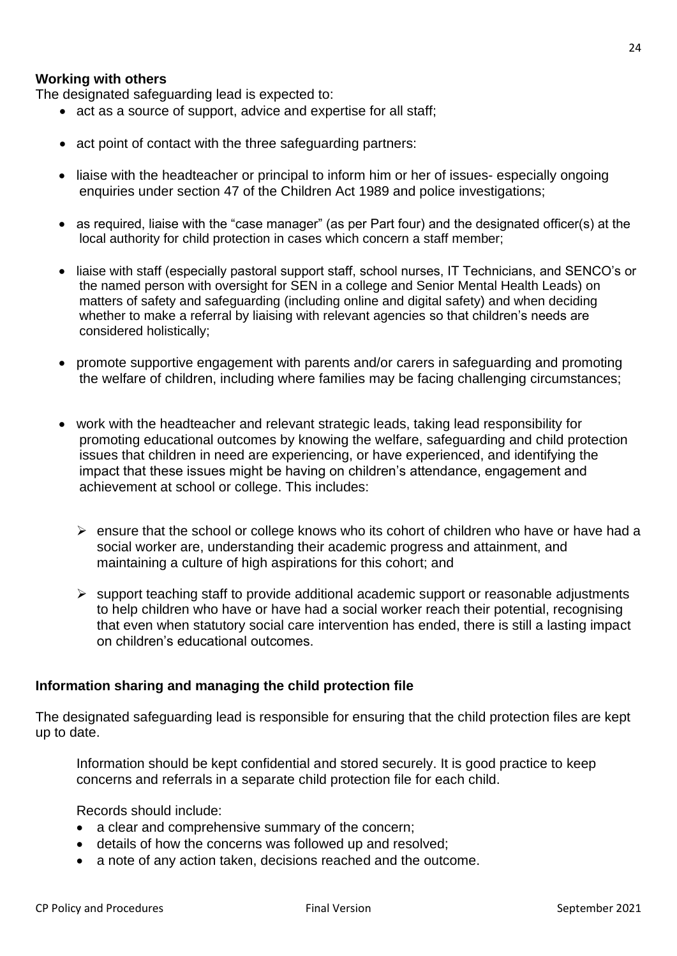#### **Working with others**

The designated safeguarding lead is expected to:

- act as a source of support, advice and expertise for all staff;
- act point of contact with the three safeguarding partners:
- liaise with the headteacher or principal to inform him or her of issues- especially ongoing enquiries under section 47 of the Children Act 1989 and police investigations;
- as required, liaise with the "case manager" (as per Part four) and the designated officer(s) at the local authority for child protection in cases which concern a staff member;
- liaise with staff (especially pastoral support staff, school nurses, IT Technicians, and SENCO's or the named person with oversight for SEN in a college and Senior Mental Health Leads) on matters of safety and safeguarding (including online and digital safety) and when deciding whether to make a referral by liaising with relevant agencies so that children's needs are considered holistically;
- promote supportive engagement with parents and/or carers in safeguarding and promoting the welfare of children, including where families may be facing challenging circumstances;
- work with the headteacher and relevant strategic leads, taking lead responsibility for promoting educational outcomes by knowing the welfare, safeguarding and child protection issues that children in need are experiencing, or have experienced, and identifying the impact that these issues might be having on children's attendance, engagement and achievement at school or college. This includes:
	- $\triangleright$  ensure that the school or college knows who its cohort of children who have or have had a social worker are, understanding their academic progress and attainment, and maintaining a culture of high aspirations for this cohort; and
	- $\triangleright$  support teaching staff to provide additional academic support or reasonable adjustments to help children who have or have had a social worker reach their potential, recognising that even when statutory social care intervention has ended, there is still a lasting impact on children's educational outcomes.

#### **Information sharing and managing the child protection file**

The designated safeguarding lead is responsible for ensuring that the child protection files are kept up to date.

Information should be kept confidential and stored securely. It is good practice to keep concerns and referrals in a separate child protection file for each child.

Records should include:

- a clear and comprehensive summary of the concern;
- details of how the concerns was followed up and resolved;
- a note of any action taken, decisions reached and the outcome.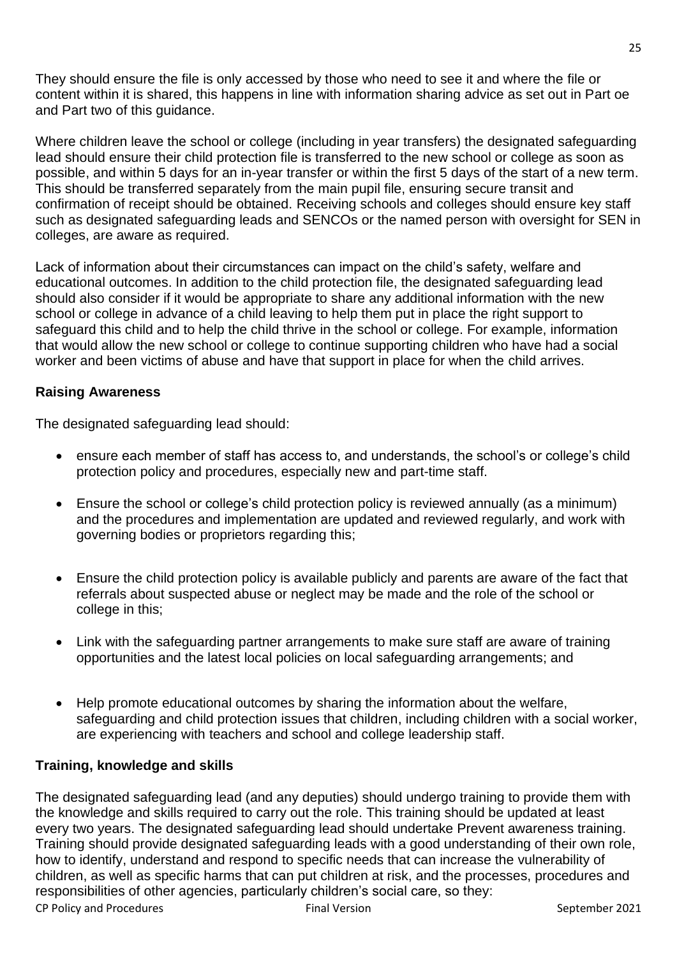They should ensure the file is only accessed by those who need to see it and where the file or content within it is shared, this happens in line with information sharing advice as set out in Part oe and Part two of this guidance.

Where children leave the school or college (including in year transfers) the designated safeguarding lead should ensure their child protection file is transferred to the new school or college as soon as possible, and within 5 days for an in-year transfer or within the first 5 days of the start of a new term. This should be transferred separately from the main pupil file, ensuring secure transit and confirmation of receipt should be obtained. Receiving schools and colleges should ensure key staff such as designated safeguarding leads and SENCOs or the named person with oversight for SEN in colleges, are aware as required.

Lack of information about their circumstances can impact on the child's safety, welfare and educational outcomes. In addition to the child protection file, the designated safeguarding lead should also consider if it would be appropriate to share any additional information with the new school or college in advance of a child leaving to help them put in place the right support to safeguard this child and to help the child thrive in the school or college. For example, information that would allow the new school or college to continue supporting children who have had a social worker and been victims of abuse and have that support in place for when the child arrives.

#### **Raising Awareness**

The designated safeguarding lead should:

- ensure each member of staff has access to, and understands, the school's or college's child protection policy and procedures, especially new and part-time staff.
- Ensure the school or college's child protection policy is reviewed annually (as a minimum) and the procedures and implementation are updated and reviewed regularly, and work with governing bodies or proprietors regarding this;
- Ensure the child protection policy is available publicly and parents are aware of the fact that referrals about suspected abuse or neglect may be made and the role of the school or college in this;
- Link with the safeguarding partner arrangements to make sure staff are aware of training opportunities and the latest local policies on local safeguarding arrangements; and
- Help promote educational outcomes by sharing the information about the welfare, safeguarding and child protection issues that children, including children with a social worker, are experiencing with teachers and school and college leadership staff.

#### **Training, knowledge and skills**

The designated safeguarding lead (and any deputies) should undergo training to provide them with the knowledge and skills required to carry out the role. This training should be updated at least every two years. The designated safeguarding lead should undertake Prevent awareness training. Training should provide designated safeguarding leads with a good understanding of their own role, how to identify, understand and respond to specific needs that can increase the vulnerability of children, as well as specific harms that can put children at risk, and the processes, procedures and responsibilities of other agencies, particularly children's social care, so they: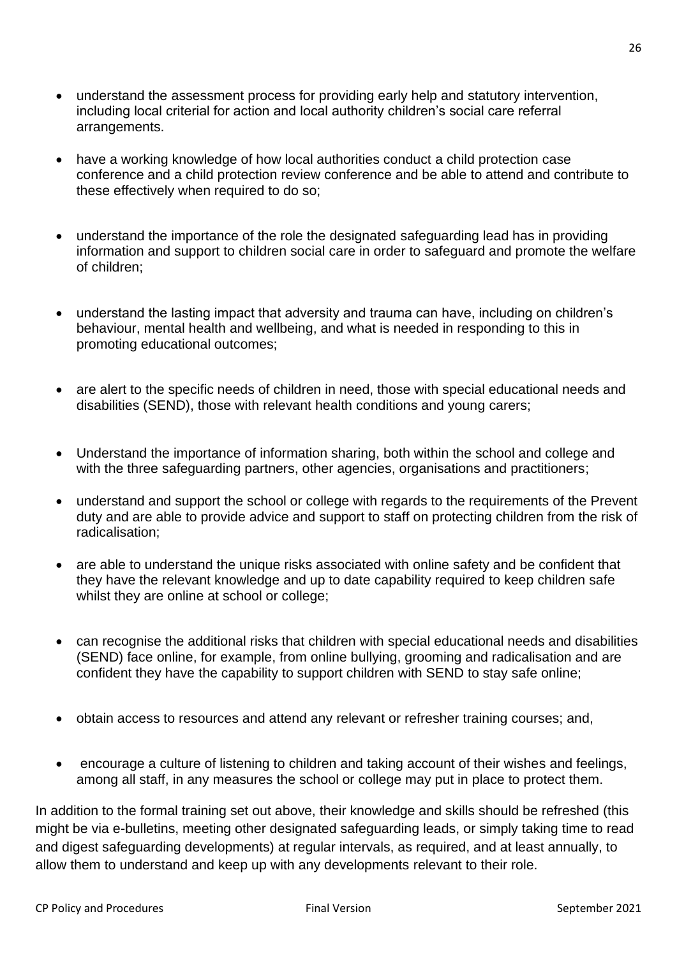- understand the assessment process for providing early help and statutory intervention, including local criterial for action and local authority children's social care referral arrangements.
- have a working knowledge of how local authorities conduct a child protection case conference and a child protection review conference and be able to attend and contribute to these effectively when required to do so;
- understand the importance of the role the designated safeguarding lead has in providing information and support to children social care in order to safeguard and promote the welfare of children;
- understand the lasting impact that adversity and trauma can have, including on children's behaviour, mental health and wellbeing, and what is needed in responding to this in promoting educational outcomes;
- are alert to the specific needs of children in need, those with special educational needs and disabilities (SEND), those with relevant health conditions and young carers;
- Understand the importance of information sharing, both within the school and college and with the three safeguarding partners, other agencies, organisations and practitioners;
- understand and support the school or college with regards to the requirements of the Prevent duty and are able to provide advice and support to staff on protecting children from the risk of radicalisation;
- are able to understand the unique risks associated with online safety and be confident that they have the relevant knowledge and up to date capability required to keep children safe whilst they are online at school or college;
- can recognise the additional risks that children with special educational needs and disabilities (SEND) face online, for example, from online bullying, grooming and radicalisation and are confident they have the capability to support children with SEND to stay safe online;
- obtain access to resources and attend any relevant or refresher training courses; and,
- encourage a culture of listening to children and taking account of their wishes and feelings, among all staff, in any measures the school or college may put in place to protect them.

In addition to the formal training set out above, their knowledge and skills should be refreshed (this might be via e-bulletins, meeting other designated safeguarding leads, or simply taking time to read and digest safeguarding developments) at regular intervals, as required, and at least annually, to allow them to understand and keep up with any developments relevant to their role.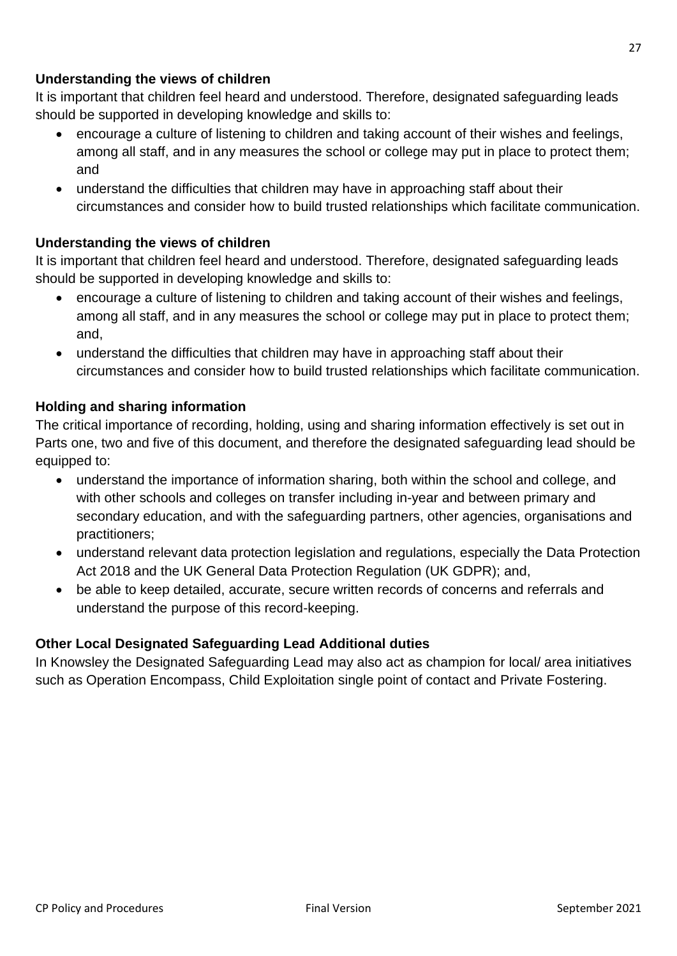#### **Understanding the views of children**

It is important that children feel heard and understood. Therefore, designated safeguarding leads should be supported in developing knowledge and skills to:

- encourage a culture of listening to children and taking account of their wishes and feelings, among all staff, and in any measures the school or college may put in place to protect them; and
- understand the difficulties that children may have in approaching staff about their circumstances and consider how to build trusted relationships which facilitate communication.

#### **Understanding the views of children**

It is important that children feel heard and understood. Therefore, designated safeguarding leads should be supported in developing knowledge and skills to:

- encourage a culture of listening to children and taking account of their wishes and feelings, among all staff, and in any measures the school or college may put in place to protect them; and,
- understand the difficulties that children may have in approaching staff about their circumstances and consider how to build trusted relationships which facilitate communication.

#### **Holding and sharing information**

The critical importance of recording, holding, using and sharing information effectively is set out in Parts one, two and five of this document, and therefore the designated safeguarding lead should be equipped to:

- understand the importance of information sharing, both within the school and college, and with other schools and colleges on transfer including in-year and between primary and secondary education, and with the safeguarding partners, other agencies, organisations and practitioners;
- understand relevant data protection legislation and regulations, especially the Data Protection Act 2018 and the UK General Data Protection Regulation (UK GDPR); and,
- be able to keep detailed, accurate, secure written records of concerns and referrals and understand the purpose of this record-keeping.

#### **Other Local Designated Safeguarding Lead Additional duties**

In Knowsley the Designated Safeguarding Lead may also act as champion for local/ area initiatives such as Operation Encompass, Child Exploitation single point of contact and Private Fostering.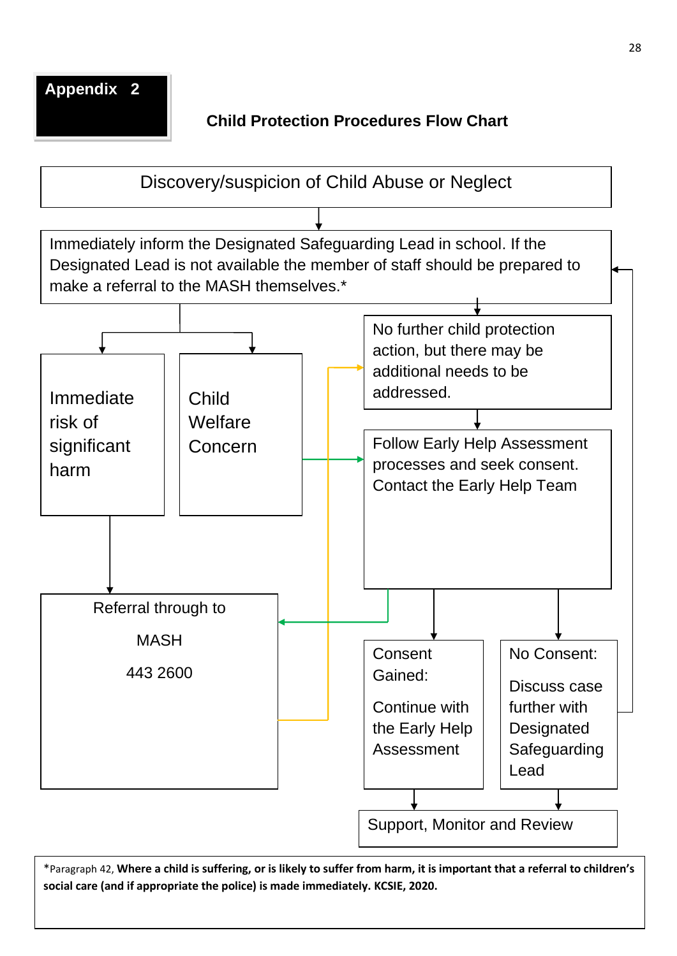# **Child Protection Procedures Flow Chart**



\*Paragraph 42, **Where a child is suffering, or is likely to suffer from harm, it is important that a referral to children's social care (and if appropriate the police) is made immediately. KCSIE, 2020.**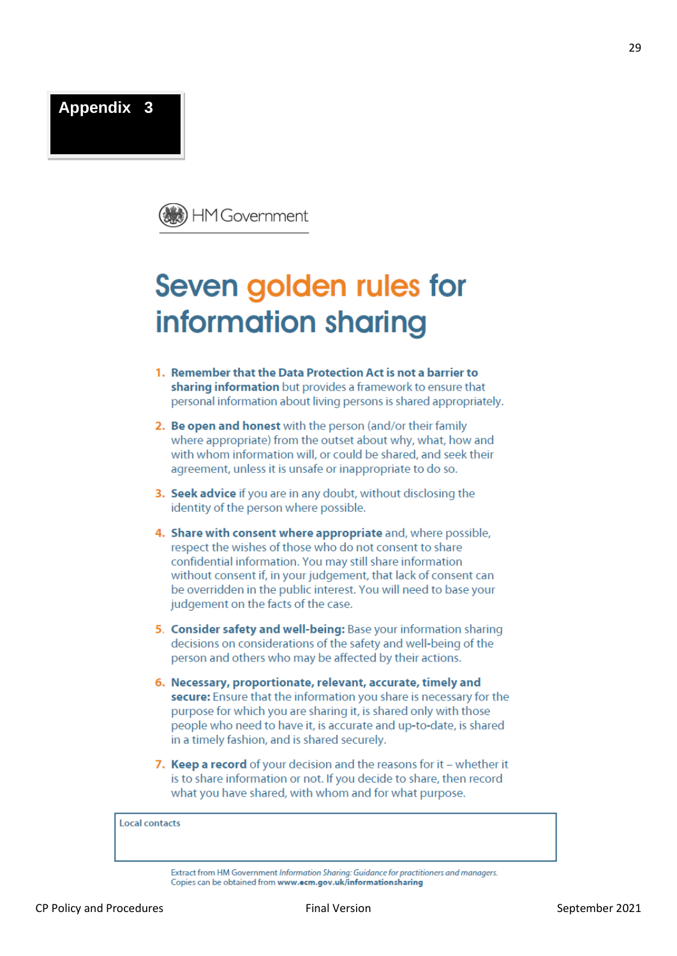**Appendix 3** 



# Seven golden rules for information sharing

- 1. Remember that the Data Protection Act is not a barrier to sharing information but provides a framework to ensure that personal information about living persons is shared appropriately.
- 2. Be open and honest with the person (and/or their family where appropriate) from the outset about why, what, how and with whom information will, or could be shared, and seek their agreement, unless it is unsafe or inappropriate to do so.
- 3. Seek advice if you are in any doubt, without disclosing the identity of the person where possible.
- 4. Share with consent where appropriate and, where possible, respect the wishes of those who do not consent to share confidential information. You may still share information without consent if, in your judgement, that lack of consent can be overridden in the public interest. You will need to base your judgement on the facts of the case.
- 5. Consider safety and well-being: Base your information sharing decisions on considerations of the safety and well-being of the person and others who may be affected by their actions.
- 6. Necessary, proportionate, relevant, accurate, timely and secure: Ensure that the information you share is necessary for the purpose for which you are sharing it, is shared only with those people who need to have it, is accurate and up-to-date, is shared in a timely fashion, and is shared securely.
- 7. Keep a record of your decision and the reasons for it whether it is to share information or not. If you decide to share, then record what you have shared, with whom and for what purpose.

**Local contacts** 

Extract from HM Government Information Sharing: Guidance for practitioners and managers. Copies can be obtained from www.ecm.gov.uk/informationsharing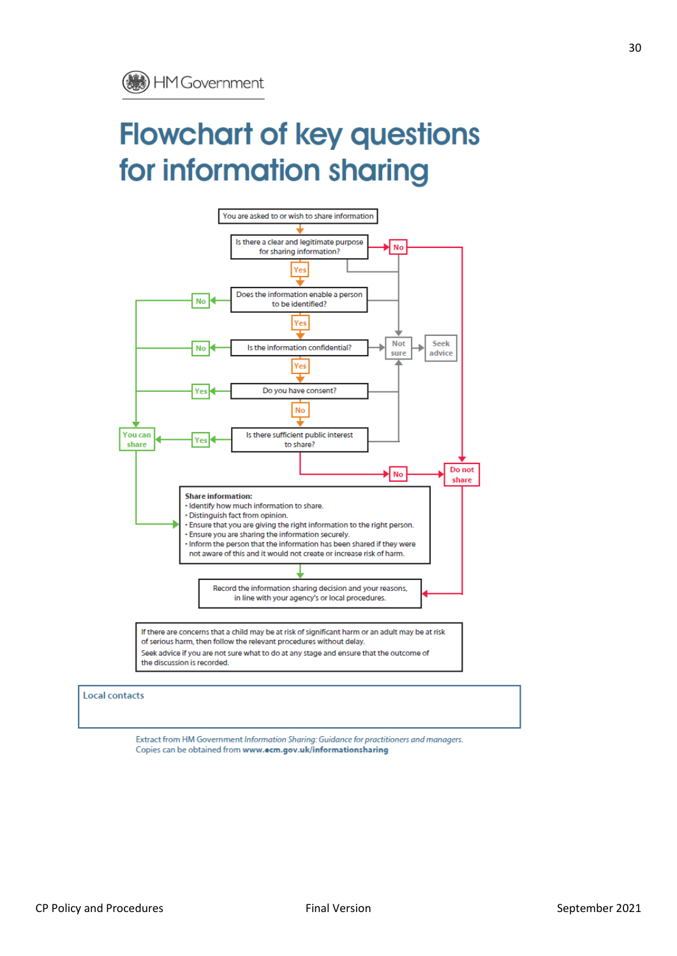# **Flowchart of key questions** for information sharing



Extract from HM Government Information Sharing: Guidance for practitioners and managers. Copies can be obtained from www.ecm.gov.uk/informationsharing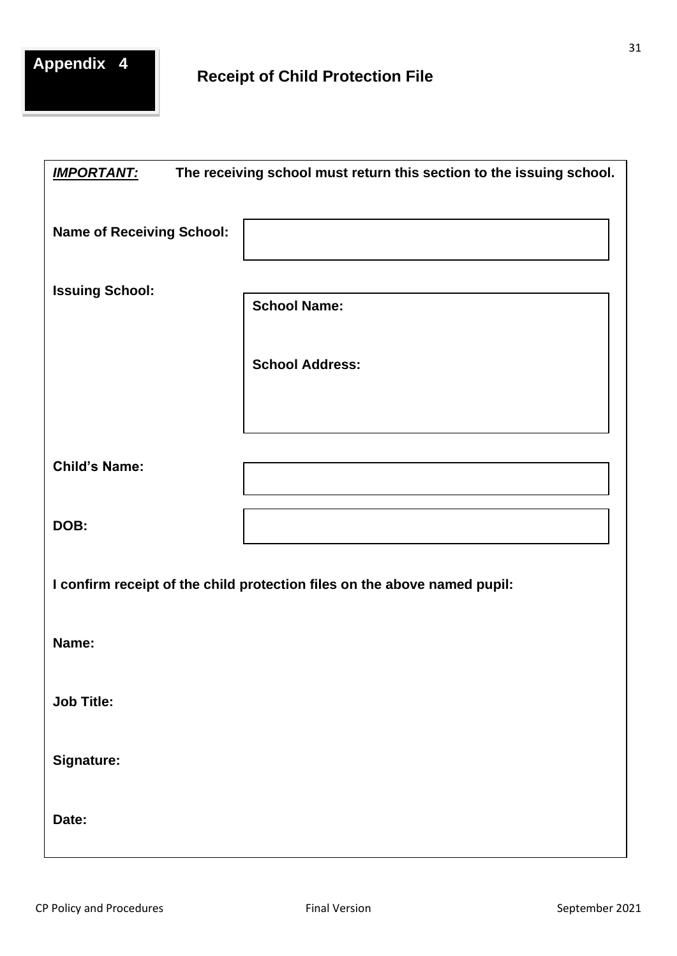# **Receipt of Child Protection File**

| <u>IMPORTANT:</u>                | The receiving school must return this section to the issuing school.      |
|----------------------------------|---------------------------------------------------------------------------|
| <b>Name of Receiving School:</b> |                                                                           |
| <b>Issuing School:</b>           | <b>School Name:</b>                                                       |
|                                  | <b>School Address:</b>                                                    |
|                                  |                                                                           |
| <b>Child's Name:</b>             |                                                                           |
| DOB:                             |                                                                           |
|                                  | I confirm receipt of the child protection files on the above named pupil: |
| Name:                            |                                                                           |
| <b>Job Title:</b>                |                                                                           |
| Signature:                       |                                                                           |
| Date:                            |                                                                           |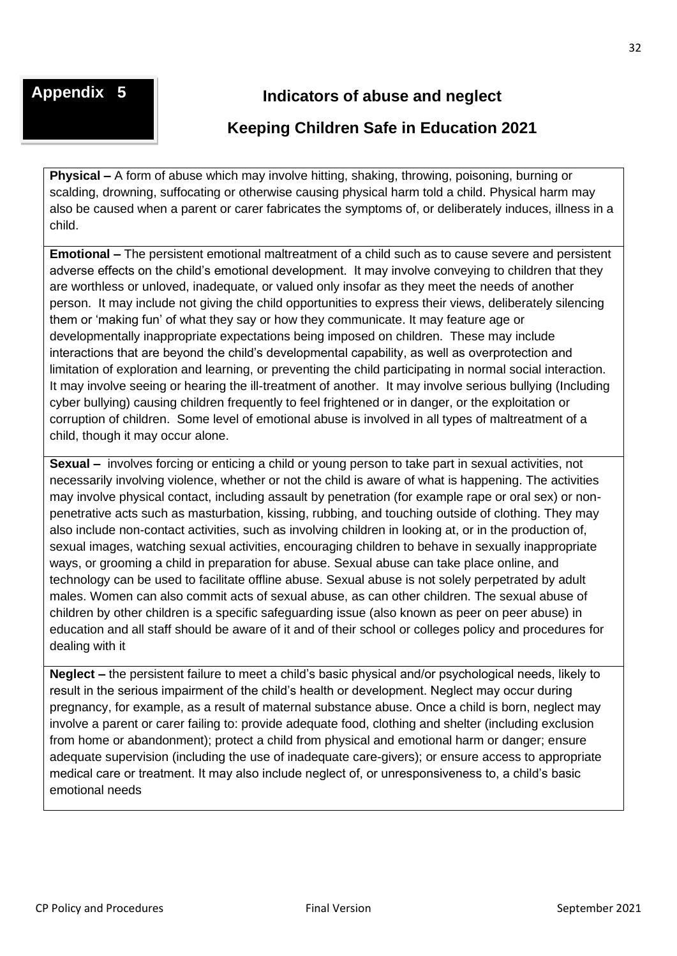# **Appendix 5 Indicators of abuse and neglect**

### **Keeping Children Safe in Education 2021**

**Physical –** A form of abuse which may involve hitting, shaking, throwing, poisoning, burning or scalding, drowning, suffocating or otherwise causing physical harm told a child. Physical harm may also be caused when a parent or carer fabricates the symptoms of, or deliberately induces, illness in a child.

**Emotional –** The persistent emotional maltreatment of a child such as to cause severe and persistent adverse effects on the child's emotional development. It may involve conveying to children that they are worthless or unloved, inadequate, or valued only insofar as they meet the needs of another person. It may include not giving the child opportunities to express their views, deliberately silencing them or 'making fun' of what they say or how they communicate. It may feature age or developmentally inappropriate expectations being imposed on children. These may include interactions that are beyond the child's developmental capability, as well as overprotection and limitation of exploration and learning, or preventing the child participating in normal social interaction. It may involve seeing or hearing the ill-treatment of another. It may involve serious bullying (Including cyber bullying) causing children frequently to feel frightened or in danger, or the exploitation or corruption of children. Some level of emotional abuse is involved in all types of maltreatment of a child, though it may occur alone.

**Sexual –** involves forcing or enticing a child or young person to take part in sexual activities, not necessarily involving violence, whether or not the child is aware of what is happening. The activities may involve physical contact, including assault by penetration (for example rape or oral sex) or nonpenetrative acts such as masturbation, kissing, rubbing, and touching outside of clothing. They may also include non-contact activities, such as involving children in looking at, or in the production of, sexual images, watching sexual activities, encouraging children to behave in sexually inappropriate ways, or grooming a child in preparation for abuse. Sexual abuse can take place online, and technology can be used to facilitate offline abuse. Sexual abuse is not solely perpetrated by adult males. Women can also commit acts of sexual abuse, as can other children. The sexual abuse of children by other children is a specific safeguarding issue (also known as peer on peer abuse) in education and all staff should be aware of it and of their school or colleges policy and procedures for dealing with it

**Neglect –** the persistent failure to meet a child's basic physical and/or psychological needs, likely to result in the serious impairment of the child's health or development. Neglect may occur during pregnancy, for example, as a result of maternal substance abuse. Once a child is born, neglect may involve a parent or carer failing to: provide adequate food, clothing and shelter (including exclusion from home or abandonment); protect a child from physical and emotional harm or danger; ensure adequate supervision (including the use of inadequate care-givers); or ensure access to appropriate medical care or treatment. It may also include neglect of, or unresponsiveness to, a child's basic emotional needs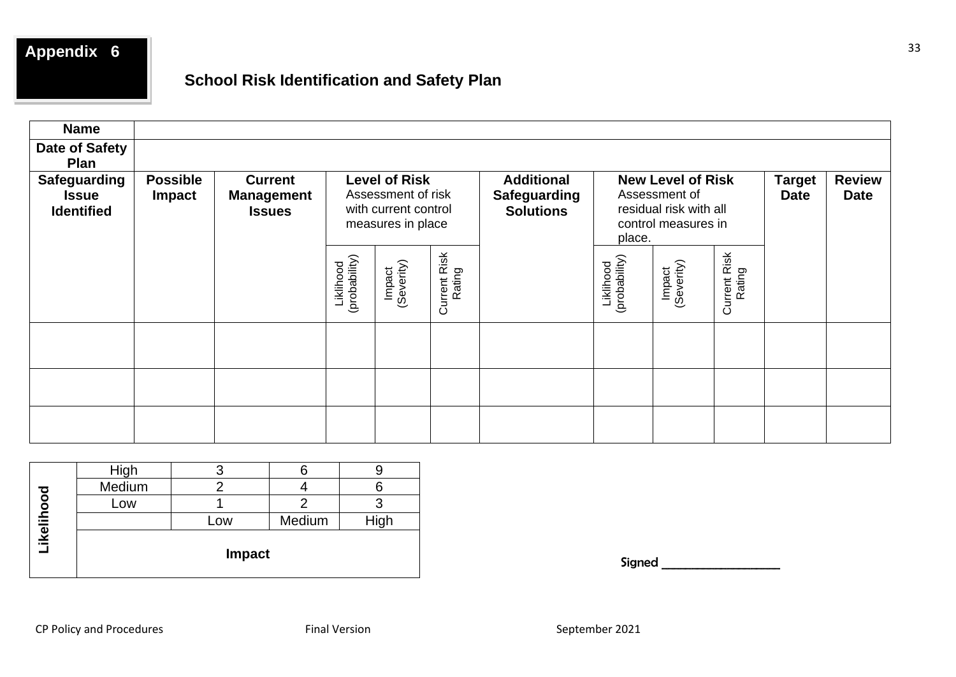# **Appendix 6**

# **School Risk Identification and Safety Plan**

| <b>Name</b>                                              |                                  |                                                      |                                                                                         |                      |                        |                                                              |                                                                                                      |                      |                               |                              |                              |
|----------------------------------------------------------|----------------------------------|------------------------------------------------------|-----------------------------------------------------------------------------------------|----------------------|------------------------|--------------------------------------------------------------|------------------------------------------------------------------------------------------------------|----------------------|-------------------------------|------------------------------|------------------------------|
| Date of Safety<br>Plan                                   |                                  |                                                      |                                                                                         |                      |                        |                                                              |                                                                                                      |                      |                               |                              |                              |
| <b>Safeguarding</b><br><b>Issue</b><br><b>Identified</b> | <b>Possible</b><br><b>Impact</b> | <b>Current</b><br><b>Management</b><br><b>Issues</b> | <b>Level of Risk</b><br>Assessment of risk<br>with current control<br>measures in place |                      |                        | <b>Additional</b><br><b>Safeguarding</b><br><b>Solutions</b> | <b>New Level of Risk</b><br>Assessment of<br>residual risk with all<br>control measures in<br>place. |                      |                               | <b>Target</b><br><b>Date</b> | <b>Review</b><br><b>Date</b> |
|                                                          |                                  |                                                      | (probability)<br>Liklihood                                                              | Impact<br>(Severity) | Current Risk<br>Rating |                                                              | Liklihood<br>(probability)                                                                           | Impact<br>(Severity) | <b>Current Risk</b><br>Rating |                              |                              |
|                                                          |                                  |                                                      |                                                                                         |                      |                        |                                                              |                                                                                                      |                      |                               |                              |                              |
|                                                          |                                  |                                                      |                                                                                         |                      |                        |                                                              |                                                                                                      |                      |                               |                              |                              |
|                                                          |                                  |                                                      |                                                                                         |                      |                        |                                                              |                                                                                                      |                      |                               |                              |                              |

|           | High   |               |        |      |
|-----------|--------|---------------|--------|------|
|           | Medium |               |        |      |
|           | _OW    |               |        |      |
| ikelihood |        | _OW           | Medium | High |
|           |        | <b>Impact</b> |        |      |

Signed \_\_\_\_\_\_\_\_\_\_\_\_\_\_\_\_\_\_\_\_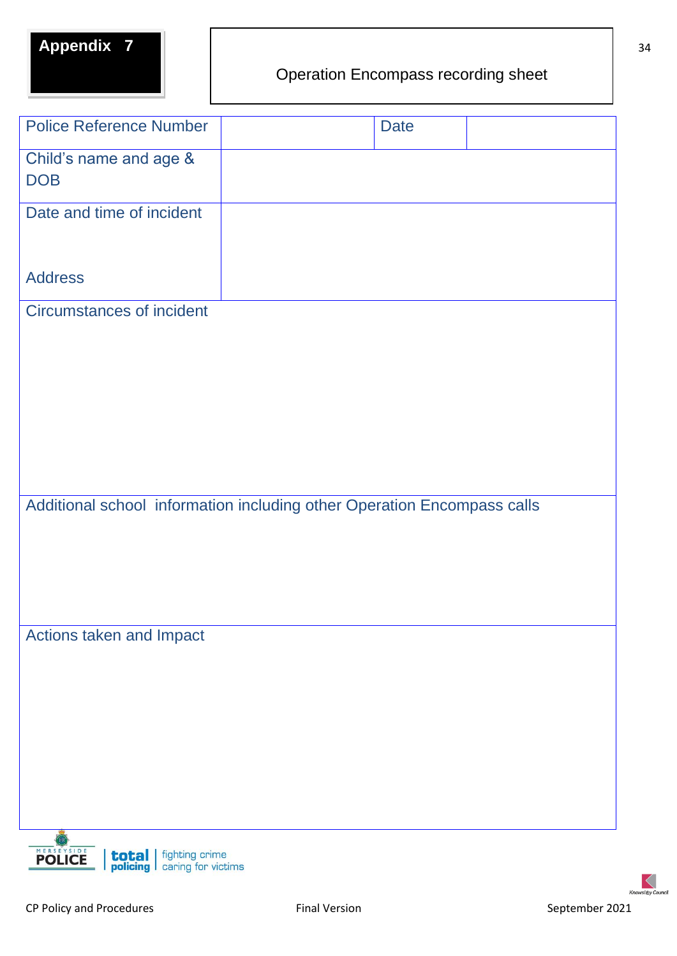| <b>Police Reference Number</b>                                          | <b>Date</b> |  |
|-------------------------------------------------------------------------|-------------|--|
| Child's name and age &<br><b>DOB</b>                                    |             |  |
| Date and time of incident                                               |             |  |
| <b>Address</b>                                                          |             |  |
| <b>Circumstances of incident</b>                                        |             |  |
|                                                                         |             |  |
| Additional school information including other Operation Encompass calls |             |  |
| Actions taken and Impact                                                |             |  |

 $\leq$